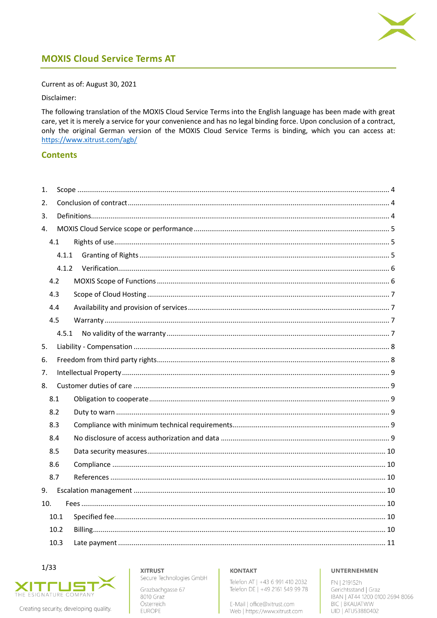

# **MOXIS Cloud Service Terms AT**

Current as of: August 30, 2021

Disclaimer:

The following translation of the MOXIS Cloud Service Terms into the English language has been made with great care, yet it is merely a service for your convenience and has no legal binding force. Upon conclusion of a contract, only the original German version of the MOXIS Cloud Service Terms is binding, which you can access at: https://www.xitrust.com/agb/

# **Contents**

| 1.  |       |  |  |  |  |
|-----|-------|--|--|--|--|
| 2.  |       |  |  |  |  |
| 3.  |       |  |  |  |  |
| 4.  |       |  |  |  |  |
| 4.1 |       |  |  |  |  |
|     | 4.1.1 |  |  |  |  |
|     | 4.1.2 |  |  |  |  |
|     | 4.2   |  |  |  |  |
|     | 4.3   |  |  |  |  |
|     | 4.4   |  |  |  |  |
|     | 4.5   |  |  |  |  |
|     | 4.5.1 |  |  |  |  |
| 5.  |       |  |  |  |  |
| 6.  |       |  |  |  |  |
| 7.  |       |  |  |  |  |
| 8.  |       |  |  |  |  |
|     | 8.1   |  |  |  |  |
|     | 8.2   |  |  |  |  |
|     | 8.3   |  |  |  |  |
|     | 8.4   |  |  |  |  |
| 8.5 |       |  |  |  |  |
| 8.6 |       |  |  |  |  |
|     | 8.7   |  |  |  |  |
| 9.  |       |  |  |  |  |
| 10. |       |  |  |  |  |
|     | 10.1  |  |  |  |  |
|     | 10.2  |  |  |  |  |
|     | 10.3  |  |  |  |  |

### $1/33$



Creating security, developing quality.

Österreich

**EUROPE** 

#### **KONTAKT**

Telefon AT | +43 6 991 410 2032 Telefon DE | +49 2161 549 99 78

E-Mail | office@xitrust.com Web | https://www.xitrust.com

### **UNTERNEHMEN**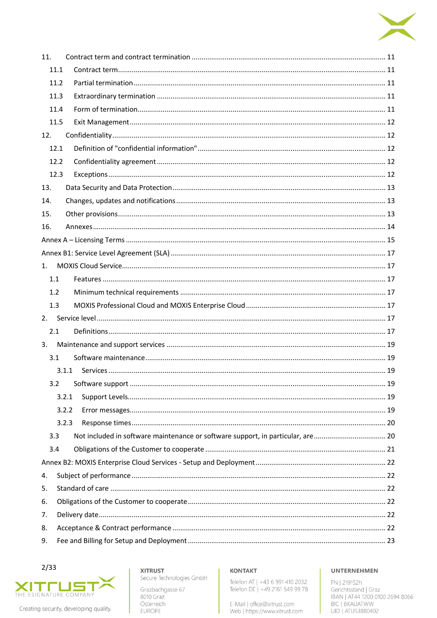

| 11.  |       |                                                                                 |  |
|------|-------|---------------------------------------------------------------------------------|--|
| 11.1 |       |                                                                                 |  |
| 11.2 |       |                                                                                 |  |
| 11.3 |       |                                                                                 |  |
| 11.4 |       |                                                                                 |  |
| 11.5 |       |                                                                                 |  |
| 12.  |       |                                                                                 |  |
| 12.1 |       |                                                                                 |  |
| 12.2 |       |                                                                                 |  |
| 12.3 |       |                                                                                 |  |
| 13.  |       |                                                                                 |  |
| 14.  |       |                                                                                 |  |
| 15.  |       |                                                                                 |  |
| 16.  |       |                                                                                 |  |
|      |       |                                                                                 |  |
|      |       |                                                                                 |  |
| 1.   |       |                                                                                 |  |
| 1.1  |       |                                                                                 |  |
| 1.2  |       |                                                                                 |  |
| 1.3  |       |                                                                                 |  |
|      |       |                                                                                 |  |
| 2.1  |       |                                                                                 |  |
| 3.   |       |                                                                                 |  |
| 3.1  |       |                                                                                 |  |
|      | 3.1.1 |                                                                                 |  |
| 3.2  |       |                                                                                 |  |
|      | 3.2.1 |                                                                                 |  |
|      | 3.2.2 |                                                                                 |  |
|      | 3.2.3 |                                                                                 |  |
| 3.3  |       | Not included in software maintenance or software support, in particular, are 20 |  |
| 3.4  |       |                                                                                 |  |
|      |       |                                                                                 |  |
| 4.   |       |                                                                                 |  |
| 5.   |       |                                                                                 |  |
| 6.   |       |                                                                                 |  |
| 7.   |       |                                                                                 |  |
| 8.   |       |                                                                                 |  |
| 9.   |       |                                                                                 |  |



**XITRUST** Secure Technologies GmbH Grazbachgasse 67<br>8010 Graz

Österreich

**EUROPE** 

# **KONTAKT**

Telefon AT | +43 6 991 410 2032<br>Telefon DE | +49 2161 549 99 78

E-Mail | office@xitrust.com<br>Web | https://www.xitrust.com

### **UNTERNEHMEN**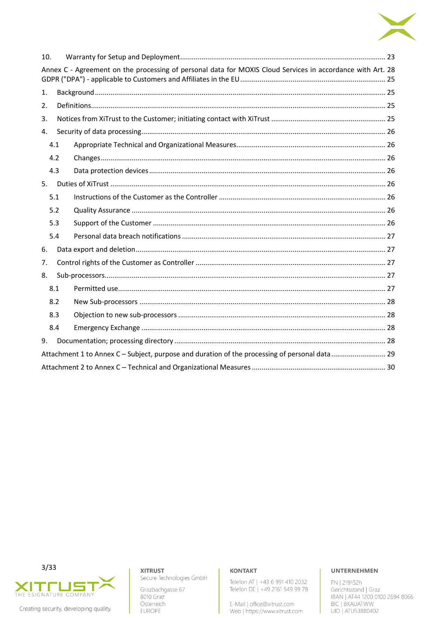

| 10.                                                                                                        |                                                                                               |  |  |  |  |
|------------------------------------------------------------------------------------------------------------|-----------------------------------------------------------------------------------------------|--|--|--|--|
| Annex C - Agreement on the processing of personal data for MOXIS Cloud Services in accordance with Art. 28 |                                                                                               |  |  |  |  |
| 1.                                                                                                         |                                                                                               |  |  |  |  |
| 2.                                                                                                         |                                                                                               |  |  |  |  |
| 3.                                                                                                         |                                                                                               |  |  |  |  |
| 4.                                                                                                         |                                                                                               |  |  |  |  |
|                                                                                                            | 4.1                                                                                           |  |  |  |  |
|                                                                                                            | 4.2                                                                                           |  |  |  |  |
|                                                                                                            | 4.3                                                                                           |  |  |  |  |
|                                                                                                            | 5.                                                                                            |  |  |  |  |
|                                                                                                            | 5.1                                                                                           |  |  |  |  |
|                                                                                                            | 5.2                                                                                           |  |  |  |  |
| 5.3                                                                                                        |                                                                                               |  |  |  |  |
|                                                                                                            | 5.4                                                                                           |  |  |  |  |
| 6.                                                                                                         |                                                                                               |  |  |  |  |
| 7.                                                                                                         |                                                                                               |  |  |  |  |
| 8.                                                                                                         |                                                                                               |  |  |  |  |
|                                                                                                            | 8.1                                                                                           |  |  |  |  |
|                                                                                                            | 8.2                                                                                           |  |  |  |  |
|                                                                                                            | 8.3                                                                                           |  |  |  |  |
|                                                                                                            | 8.4                                                                                           |  |  |  |  |
| 9.                                                                                                         |                                                                                               |  |  |  |  |
|                                                                                                            | Attachment 1 to Annex C - Subject, purpose and duration of the processing of personal data 29 |  |  |  |  |
|                                                                                                            |                                                                                               |  |  |  |  |



**XITRUST** Secure Technologies GmbH

Grazbachgasse 67<br>8010 Graz Österreich **EUROPE** 

## **KONTAKT**

Telefon AT | +43 6 991 410 2032<br>Telefon DE | +49 2161 549 99 78

E-Mail | office@xitrust.com<br>Web | https://www.xitrust.com

### **UNTERNEHMEN**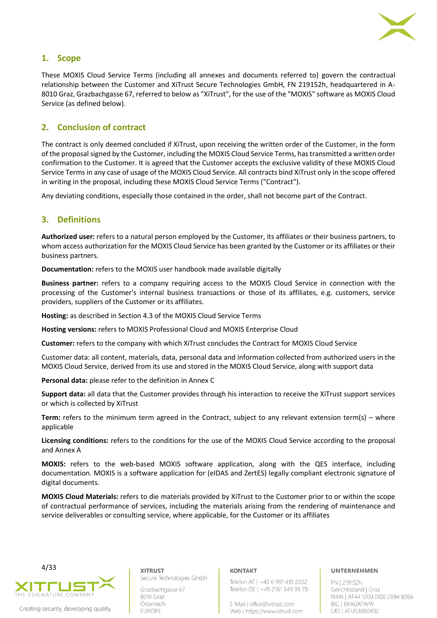

# <span id="page-3-0"></span>**1. Scope**

These MOXIS Cloud Service Terms (including all annexes and documents referred to) govern the contractual relationship between the Customer and XiTrust Secure Technologies GmbH, FN 219152h, headquartered in A-8010 Graz, Grazbachgasse 67, referred to below as "XiTrust", for the use of the "MOXIS" software as MOXIS Cloud Service (as defined below).

# <span id="page-3-1"></span>**2. Conclusion of contract**

The contract is only deemed concluded if XiTrust, upon receiving the written order of the Customer, in the form of the proposal signed by the Customer, including the MOXIS Cloud Service Terms, has transmitted a written order confirmation to the Customer. It is agreed that the Customer accepts the exclusive validity of these MOXIS Cloud Service Terms in any case of usage of the MOXIS Cloud Service. All contracts bind XiTrust only in the scope offered in writing in the proposal, including these MOXIS Cloud Service Terms ("Contract").

Any deviating conditions, especially those contained in the order, shall not become part of the Contract.

# <span id="page-3-2"></span>**3. Definitions**

**Authorized user:** refers to a natural person employed by the Customer, its affiliates or their business partners, to whom access authorization for the MOXIS Cloud Service has been granted by the Customer or its affiliates or their business partners.

**Documentation:** refers to the MOXIS user handbook made available digitally

**Business partner:** refers to a company requiring access to the MOXIS Cloud Service in connection with the processing of the Customer's internal business transactions or those of its affiliates, e.g. customers, service providers, suppliers of the Customer or its affiliates.

**Hosting:** as described in Section 4.3 of the MOXIS Cloud Service Terms

**Hosting versions:** refers to MOXIS Professional Cloud and MOXIS Enterprise Cloud

**Customer:** refers to the company with which XiTrust concludes the Contract for MOXIS Cloud Service

Customer data: all content, materials, data, personal data and information collected from authorized users in the MOXIS Cloud Service, derived from its use and stored in the MOXIS Cloud Service, along with support data

**Personal data:** please refer to the definition in Annex C

**Support data:** all data that the Customer provides through his interaction to receive the XiTrust support services or which is collected by XiTrust

**Term:** refers to the minimum term agreed in the Contract, subject to any relevant extension term(s) – where applicable

**Licensing conditions:** refers to the conditions for the use of the MOXIS Cloud Service according to the proposal and Annex A

**MOXIS:** refers to the web-based MOXIS software application, along with the QES interface, including documentation. MOXIS is a software application for (eIDAS and ZertES) legally compliant electronic signature of digital documents.

**MOXIS Cloud Materials:** refers to die materials provided by XiTrust to the Customer prior to or within the scope of contractual performance of services, including the materials arising from the rendering of maintenance and service deliverables or consulting service, where applicable, for the Customer or its affiliates



**XITRUST** Secure Technologies GmbH

Grazbachgasse 67 8010 Graz Österreich **EUROPE** 

#### **KONTAKT**

Telefon AT | +43 6 991 410 2032 Telefon DE | +49 2161 549 99 78

E-Mail | office@xitrust.com Web | https://www.xitrust.com

### **UNTERNEHMEN**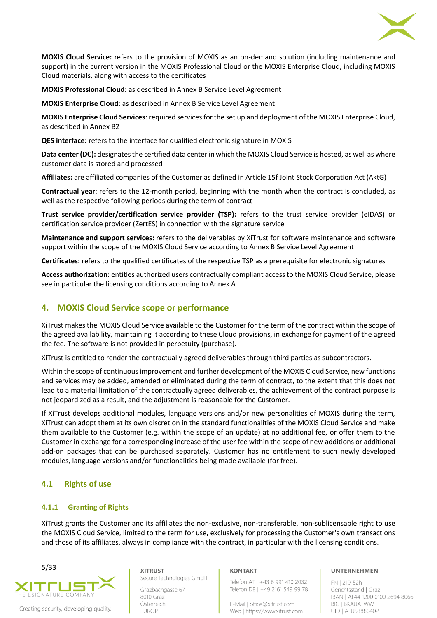

**MOXIS Cloud Service:** refers to the provision of MOXIS as an on-demand solution (including maintenance and support) in the current version in the MOXIS Professional Cloud or the MOXIS Enterprise Cloud, including MOXIS Cloud materials, along with access to the certificates

**MOXIS Professional Cloud:** as described in Annex B Service Level Agreement

**MOXIS Enterprise Cloud:** as described in Annex B Service Level Agreement

**MOXIS Enterprise Cloud Services**: required services for the set up and deployment of the MOXIS Enterprise Cloud, as described in Annex B2

**QES interface:** refers to the interface for qualified electronic signature in MOXIS

**Data center (DC):** designates the certified data center in which the MOXIS Cloud Service is hosted, as well as where customer data is stored and processed

**Affiliates:** are affiliated companies of the Customer as defined in Article 15f Joint Stock Corporation Act (AktG)

**Contractual year**: refers to the 12-month period, beginning with the month when the contract is concluded, as well as the respective following periods during the term of contract

**Trust service provider/certification service provider (TSP):** refers to the trust service provider (eIDAS) or certification service provider (ZertES) in connection with the signature service

**Maintenance and support services:** refers to the deliverables by XiTrust for software maintenance and software support within the scope of the MOXIS Cloud Service according to Annex B Service Level Agreement

**Certificates:** refers to the qualified certificates of the respective TSP as a prerequisite for electronic signatures

**Access authorization:** entitles authorized users contractually compliant access to the MOXIS Cloud Service, please see in particular the licensing conditions according to Annex A

# <span id="page-4-0"></span>**4. MOXIS Cloud Service scope or performance**

XiTrust makes the MOXIS Cloud Service available to the Customer for the term of the contract within the scope of the agreed availability, maintaining it according to these Cloud provisions, in exchange for payment of the agreed the fee. The software is not provided in perpetuity (purchase).

XiTrust is entitled to render the contractually agreed deliverables through third parties as subcontractors.

Within the scope of continuous improvement and further development of the MOXIS Cloud Service, new functions and services may be added, amended or eliminated during the term of contract, to the extent that this does not lead to a material limitation of the contractually agreed deliverables, the achievement of the contract purpose is not jeopardized as a result, and the adjustment is reasonable for the Customer.

If XiTrust develops additional modules, language versions and/or new personalities of MOXIS during the term, XiTrust can adopt them at its own discretion in the standard functionalities of the MOXIS Cloud Service and make them available to the Customer (e.g. within the scope of an update) at no additional fee, or offer them to the Customer in exchange for a corresponding increase of the user fee within the scope of new additions or additional add-on packages that can be purchased separately. Customer has no entitlement to such newly developed modules, language versions and/or functionalities being made available (for free).

# <span id="page-4-1"></span>**4.1 Rights of use**

## <span id="page-4-2"></span>**4.1.1 Granting of Rights**

XiTrust grants the Customer and its affiliates the non-exclusive, non-transferable, non-sublicensable right to use the MOXIS Cloud Service, limited to the term for use, exclusively for processing the Customer's own transactions and those of its affiliates, always in compliance with the contract, in particular with the licensing conditions.



**XITRUST** Secure Technologies GmbH

Grazbachgasse 67 8010 Graz Österreich

**EUROPE** 

### **KONTAKT**

Telefon AT | +43 6 991 410 2032 Telefon DE | +49 2161 549 99 78

E-Mail | office@xitrust.com Web | https://www.xitrust.com

### **UNTERNEHMEN**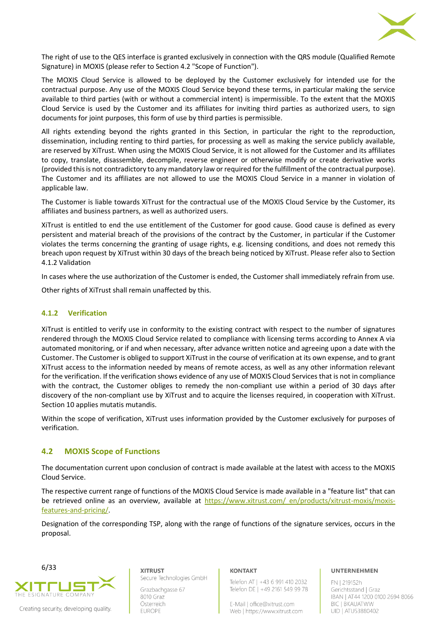

The right of use to the QES interface is granted exclusively in connection with the QRS module (Qualified Remote Signature) in MOXIS (please refer to Section 4.2 "Scope of Function").

The MOXIS Cloud Service is allowed to be deployed by the Customer exclusively for intended use for the contractual purpose. Any use of the MOXIS Cloud Service beyond these terms, in particular making the service available to third parties (with or without a commercial intent) is impermissible. To the extent that the MOXIS Cloud Service is used by the Customer and its affiliates for inviting third parties as authorized users, to sign documents for joint purposes, this form of use by third parties is permissible.

All rights extending beyond the rights granted in this Section, in particular the right to the reproduction, dissemination, including renting to third parties, for processing as well as making the service publicly available, are reserved by XiTrust. When using the MOXIS Cloud Service, it is not allowed for the Customer and its affiliates to copy, translate, disassemble, decompile, reverse engineer or otherwise modify or create derivative works (provided this is not contradictory to any mandatory law or required for the fulfillment of the contractual purpose). The Customer and its affiliates are not allowed to use the MOXIS Cloud Service in a manner in violation of applicable law.

The Customer is liable towards XiTrust for the contractual use of the MOXIS Cloud Service by the Customer, its affiliates and business partners, as well as authorized users.

XiTrust is entitled to end the use entitlement of the Customer for good cause. Good cause is defined as every persistent and material breach of the provisions of the contract by the Customer, in particular if the Customer violates the terms concerning the granting of usage rights, e.g. licensing conditions, and does not remedy this breach upon request by XiTrust within 30 days of the breach being noticed by XiTrust. Please refer also to Section 4.1.2 Validation

In cases where the use authorization of the Customer is ended, the Customer shall immediately refrain from use.

Other rights of XiTrust shall remain unaffected by this.

# <span id="page-5-0"></span>**4.1.2 Verification**

XiTrust is entitled to verify use in conformity to the existing contract with respect to the number of signatures rendered through the MOXIS Cloud Service related to compliance with licensing terms according to Annex A via automated monitoring, or if and when necessary, after advance written notice and agreeing upon a date with the Customer. The Customer is obliged to support XiTrust in the course of verification at its own expense, and to grant XiTrust access to the information needed by means of remote access, as well as any other information relevant for the verification. If the verification shows evidence of any use of MOXIS Cloud Services that is not in compliance with the contract, the Customer obliges to remedy the non-compliant use within a period of 30 days after discovery of the non-compliant use by XiTrust and to acquire the licenses required, in cooperation with XiTrust. Section 10 applies mutatis mutandis.

Within the scope of verification, XiTrust uses information provided by the Customer exclusively for purposes of verification.

# <span id="page-5-1"></span>**4.2 MOXIS Scope of Functions**

The documentation current upon conclusion of contract is made available at the latest with access to the MOXIS Cloud Service.

The respective current range of functions of the MOXIS Cloud Service is made available in a "feature list" that can be retrieved online as an overview, available at [https://www.xitrust.com/ en/products/xitrust-moxis/moxis](https://www.xitrust.com/en/products/xitrust-moxis/moxis-features-and-pricing/)[features-and-pricing/.](https://www.xitrust.com/en/products/xitrust-moxis/moxis-features-and-pricing/)

Designation of the corresponding TSP, along with the range of functions of the signature services, occurs in the proposal.



Creating security, developing quality.

**XITRUST** Secure Technologies GmbH

Grazbachgasse 67 8010 Graz Österreich **EUROPE** 

**KONTAKT** 

Telefon AT | +43 6 991 410 2032 Telefon DE | +49 2161 549 99 78

E-Mail | office@xitrust.com Web | https://www.xitrust.com

### **UNTERNEHMEN**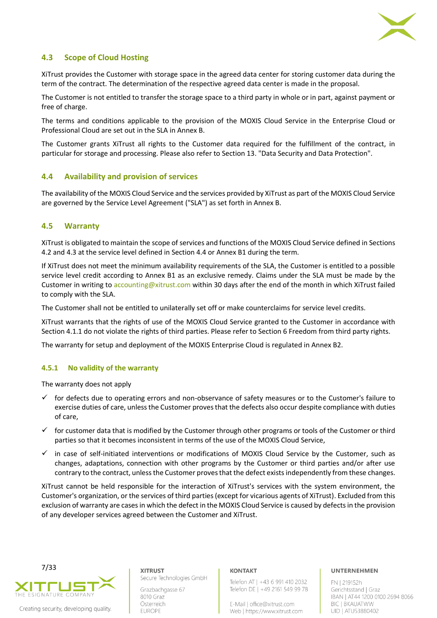

# <span id="page-6-0"></span>**4.3 Scope of Cloud Hosting**

XiTrust provides the Customer with storage space in the agreed data center for storing customer data during the term of the contract. The determination of the respective agreed data center is made in the proposal.

The Customer is not entitled to transfer the storage space to a third party in whole or in part, against payment or free of charge.

The terms and conditions applicable to the provision of the MOXIS Cloud Service in the Enterprise Cloud or Professional Cloud are set out in the SLA in Annex B.

The Customer grants XiTrust all rights to the Customer data required for the fulfillment of the contract, in particular for storage and processing. Please also refer to Section 13. "Data Security and Data Protection".

# <span id="page-6-1"></span>**4.4 Availability and provision of services**

The availability of the MOXIS Cloud Service and the services provided by XiTrust as part of the MOXIS Cloud Service are governed by the Service Level Agreement ("SLA") as set forth in Annex B.

## <span id="page-6-2"></span>**4.5 Warranty**

XiTrust is obligated to maintain the scope of services and functions of the MOXIS Cloud Service defined in Sections 4.2 and 4.3 at the service level defined in Section 4.4 or Annex B1 during the term.

If XiTrust does not meet the minimum availability requirements of the SLA, the Customer is entitled to a possible service level credit according to Annex B1 as an exclusive remedy. Claims under the SLA must be made by the Customer in writing to accounting@xitrust.com within 30 days after the end of the month in which XiTrust failed to comply with the SLA.

The Customer shall not be entitled to unilaterally set off or make counterclaims for service level credits.

XiTrust warrants that the rights of use of the MOXIS Cloud Service granted to the Customer in accordance with Section 4.1.1 do not violate the rights of third parties. Please refer to Section 6 Freedom from third party rights.

The warranty for setup and deployment of the MOXIS Enterprise Cloud is regulated in Annex B2.

## <span id="page-6-3"></span>**4.5.1 No validity of the warranty**

The warranty does not apply

- ✓ for defects due to operating errors and non-observance of safety measures or to the Customer's failure to exercise duties of care, unless the Customer proves that the defects also occur despite compliance with duties of care,
- $\checkmark$  for customer data that is modified by the Customer through other programs or tools of the Customer or third parties so that it becomes inconsistent in terms of the use of the MOXIS Cloud Service,
- $\checkmark$  in case of self-initiated interventions or modifications of MOXIS Cloud Service by the Customer, such as changes, adaptations, connection with other programs by the Customer or third parties and/or after use contrary to the contract, unless the Customer proves that the defect exists independently from these changes.

XiTrust cannot be held responsible for the interaction of XiTrust's services with the system environment, the Customer's organization, or the services of third parties (except for vicarious agents of XiTrust). Excluded from this exclusion of warranty are cases in which the defect in the MOXIS Cloud Service is caused by defects in the provision of any developer services agreed between the Customer and XiTrust.



**XITRUST** Secure Technologies GmbH

Grazbachgasse 67 8010 Graz Österreich **FUROPE** 

### **KONTAKT**

Telefon AT | +43 6 991 410 2032 Telefon DE | +49 2161 549 99 78

E-Mail | office@xitrust.com Web | https://www.xitrust.com

### **UNTERNEHMEN**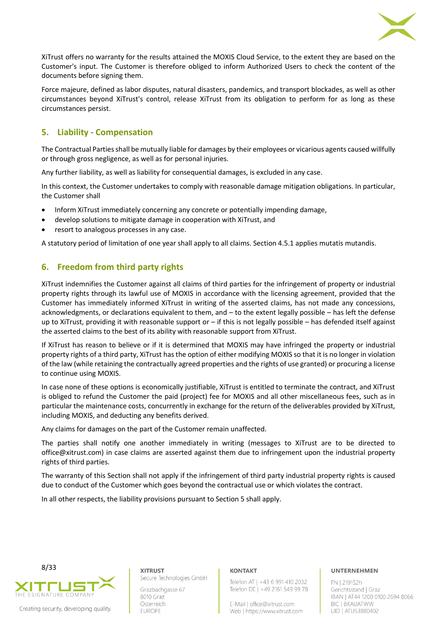

XiTrust offers no warranty for the results attained the MOXIS Cloud Service, to the extent they are based on the Customer's input. The Customer is therefore obliged to inform Authorized Users to check the content of the documents before signing them.

Force majeure, defined as labor disputes, natural disasters, pandemics, and transport blockades, as well as other circumstances beyond XiTrust's control, release XiTrust from its obligation to perform for as long as these circumstances persist.

# <span id="page-7-0"></span>**5. Liability - Compensation**

The Contractual Parties shall be mutually liable for damages by their employees or vicarious agents caused willfully or through gross negligence, as well as for personal injuries.

Any further liability, as well as liability for consequential damages, is excluded in any case.

In this context, the Customer undertakes to comply with reasonable damage mitigation obligations. In particular, the Customer shall

- Inform XiTrust immediately concerning any concrete or potentially impending damage,
- develop solutions to mitigate damage in cooperation with XiTrust, and
- resort to analogous processes in any case.

A statutory period of limitation of one year shall apply to all claims. Section 4.5.1 applies mutatis mutandis.

# <span id="page-7-1"></span>**6. Freedom from third party rights**

XiTrust indemnifies the Customer against all claims of third parties for the infringement of property or industrial property rights through its lawful use of MOXIS in accordance with the licensing agreement, provided that the Customer has immediately informed XiTrust in writing of the asserted claims, has not made any concessions, acknowledgments, or declarations equivalent to them, and – to the extent legally possible – has left the defense up to XiTrust, providing it with reasonable support or – if this is not legally possible – has defended itself against the asserted claims to the best of its ability with reasonable support from XiTrust.

If XiTrust has reason to believe or if it is determined that MOXIS may have infringed the property or industrial property rights of a third party, XiTrust has the option of either modifying MOXIS so that it is no longer in violation of the law (while retaining the contractually agreed properties and the rights of use granted) or procuring a license to continue using MOXIS.

In case none of these options is economically justifiable, XiTrust is entitled to terminate the contract, and XiTrust is obliged to refund the Customer the paid (project) fee for MOXIS and all other miscellaneous fees, such as in particular the maintenance costs, concurrently in exchange for the return of the deliverables provided by XiTrust, including MOXIS, and deducting any benefits derived.

Any claims for damages on the part of the Customer remain unaffected.

The parties shall notify one another immediately in writing (messages to XiTrust are to be directed to office@xitrust.com) in case claims are asserted against them due to infringement upon the industrial property rights of third parties.

The warranty of this Section shall not apply if the infringement of third party industrial property rights is caused due to conduct of the Customer which goes beyond the contractual use or which violates the contract.

In all other respects, the liability provisions pursuant to Section 5 shall apply.



**XITRUST** Secure Technologies GmbH

Grazbachgasse 67 8010 Graz Österreich **EUROPE** 

#### **KONTAKT**

Telefon AT | +43 6 991 410 2032 Telefon DE | +49 2161 549 99 78

E-Mail | office@xitrust.com Web | https://www.xitrust.com

### **UNTERNEHMEN**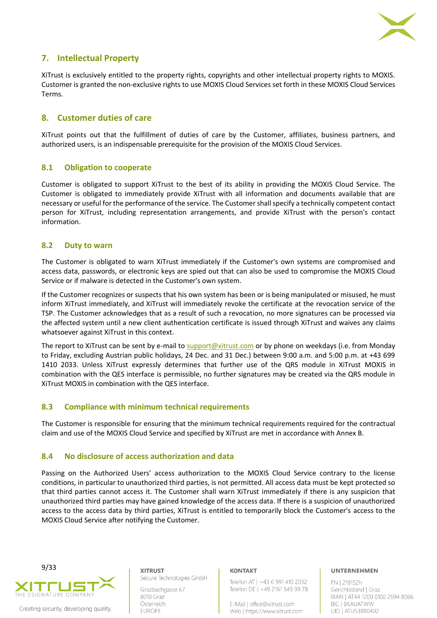

# <span id="page-8-0"></span>**7. Intellectual Property**

XiTrust is exclusively entitled to the property rights, copyrights and other intellectual property rights to MOXIS. Customer is granted the non-exclusive rights to use MOXIS Cloud Services set forth in these MOXIS Cloud Services Terms.

# <span id="page-8-1"></span>**8. Customer duties of care**

XiTrust points out that the fulfillment of duties of care by the Customer, affiliates, business partners, and authorized users, is an indispensable prerequisite for the provision of the MOXIS Cloud Services.

## <span id="page-8-2"></span>**8.1 Obligation to cooperate**

Customer is obligated to support XiTrust to the best of its ability in providing the MOXIS Cloud Service. The Customer is obligated to immediately provide XiTrust with all information and documents available that are necessary or useful for the performance of the service. The Customer shall specify a technically competent contact person for XiTrust, including representation arrangements, and provide XiTrust with the person's contact information.

### <span id="page-8-3"></span>**8.2 Duty to warn**

The Customer is obligated to warn XiTrust immediately if the Customer's own systems are compromised and access data, passwords, or electronic keys are spied out that can also be used to compromise the MOXIS Cloud Service or if malware is detected in the Customer's own system.

If the Customer recognizes or suspects that his own system has been or is being manipulated or misused, he must inform XiTrust immediately, and XiTrust will immediately revoke the certificate at the revocation service of the TSP. The Customer acknowledges that as a result of such a revocation, no more signatures can be processed via the affected system until a new client authentication certificate is issued through XiTrust and waives any claims whatsoever against XiTrust in this context.

The report to XiTrust can be sent by e-mail to support@xitrust.com or by phone on weekdays (i.e. from Monday to Friday, excluding Austrian public holidays, 24 Dec. and 31 Dec.) between 9:00 a.m. and 5:00 p.m. at +43 699 1410 2033. Unless XiTrust expressly determines that further use of the QRS module in XiTrust MOXIS in combination with the QES interface is permissible, no further signatures may be created via the QRS module in XiTrust MOXIS in combination with the QES interface.

## <span id="page-8-4"></span>**8.3 Compliance with minimum technical requirements**

The Customer is responsible for ensuring that the minimum technical requirements required for the contractual claim and use of the MOXIS Cloud Service and specified by XiTrust are met in accordance with Annex B.

## <span id="page-8-5"></span>**8.4 No disclosure of access authorization and data**

Passing on the Authorized Users' access authorization to the MOXIS Cloud Service contrary to the license conditions, in particular to unauthorized third parties, is not permitted. All access data must be kept protected so that third parties cannot access it. The Customer shall warn XiTrust immediately if there is any suspicion that unauthorized third parties may have gained knowledge of the access data. If there is a suspicion of unauthorized access to the access data by third parties, XiTrust is entitled to temporarily block the Customer's access to the MOXIS Cloud Service after notifying the Customer.



**XITRUST** Secure Technologies GmbH

Grazbachgasse 67 8010 Graz Österreich **FUROPE** 

#### **KONTAKT**

Telefon AT | +43 6 991 410 2032 Telefon DE | +49 2161 549 99 78

E-Mail | office@xitrust.com Web | https://www.xitrust.com

#### **UNTERNEHMEN**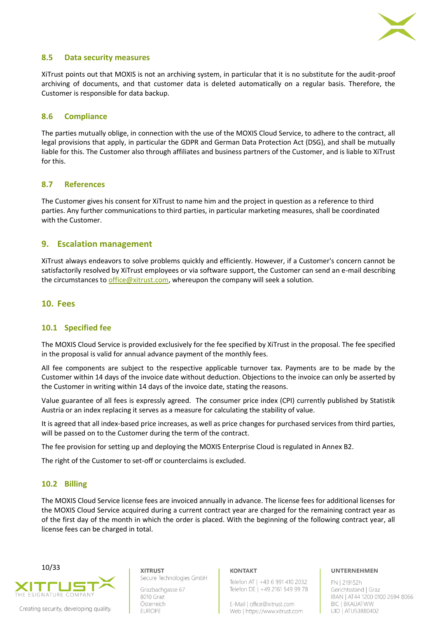

### <span id="page-9-0"></span>**8.5 Data security measures**

XiTrust points out that MOXIS is not an archiving system, in particular that it is no substitute for the audit-proof archiving of documents, and that customer data is deleted automatically on a regular basis. Therefore, the Customer is responsible for data backup.

## <span id="page-9-1"></span>**8.6 Compliance**

The parties mutually oblige, in connection with the use of the MOXIS Cloud Service, to adhere to the contract, all legal provisions that apply, in particular the GDPR and German Data Protection Act (DSG), and shall be mutually liable for this. The Customer also through affiliates and business partners of the Customer, and is liable to XiTrust for this.

### <span id="page-9-2"></span>**8.7 References**

The Customer gives his consent for XiTrust to name him and the project in question as a reference to third parties. Any further communications to third parties, in particular marketing measures, shall be coordinated with the Customer.

## <span id="page-9-3"></span>**9. Escalation management**

XiTrust always endeavors to solve problems quickly and efficiently. However, if a Customer's concern cannot be satisfactorily resolved by XiTrust employees or via software support, the Customer can send an e-mail describing the circumstances to office  $\omega$ xitrust.com, whereupon the company will seek a solution.

## <span id="page-9-4"></span>**10. Fees**

## <span id="page-9-5"></span>**10.1 Specified fee**

The MOXIS Cloud Service is provided exclusively for the fee specified by XiTrust in the proposal. The fee specified in the proposal is valid for annual advance payment of the monthly fees.

All fee components are subject to the respective applicable turnover tax. Payments are to be made by the Customer within 14 days of the invoice date without deduction. Objections to the invoice can only be asserted by the Customer in writing within 14 days of the invoice date, stating the reasons.

Value guarantee of all fees is expressly agreed. The consumer price index (CPI) currently published by Statistik Austria or an index replacing it serves as a measure for calculating the stability of value.

It is agreed that all index-based price increases, as well as price changes for purchased services from third parties, will be passed on to the Customer during the term of the contract.

The fee provision for setting up and deploying the MOXIS Enterprise Cloud is regulated in Annex B2.

The right of the Customer to set-off or counterclaims is excluded.

## <span id="page-9-6"></span>**10.2 Billing**

The MOXIS Cloud Service license fees are invoiced annually in advance. The license fees for additional licenses for the MOXIS Cloud Service acquired during a current contract year are charged for the remaining contract year as of the first day of the month in which the order is placed. With the beginning of the following contract year, all license fees can be charged in total.



**XITRUST** Secure Technologies GmbH

Grazbachgasse 67 8010 Graz Österreich **FUROPE** 

#### **KONTAKT**

Telefon AT | +43 6 991 410 2032 Telefon DE | +49 2161 549 99 78

E-Mail | office@xitrust.com Web | https://www.xitrust.com

#### **UNTERNEHMEN**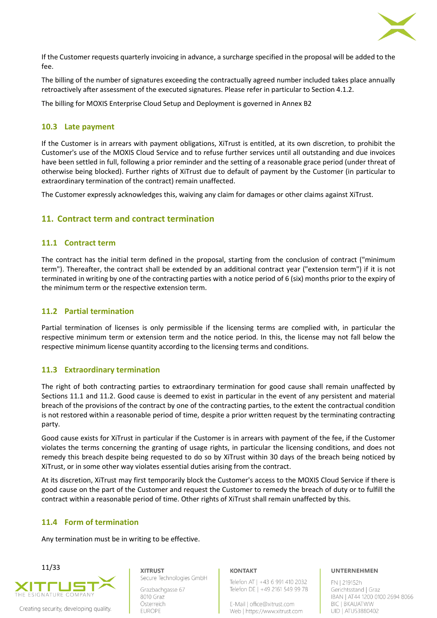

If the Customer requests quarterly invoicing in advance, a surcharge specified in the proposal will be added to the fee.

The billing of the number of signatures exceeding the contractually agreed number included takes place annually retroactively after assessment of the executed signatures. Please refer in particular to Section 4.1.2.

The billing for MOXIS Enterprise Cloud Setup and Deployment is governed in Annex B2

# <span id="page-10-0"></span>**10.3 Late payment**

If the Customer is in arrears with payment obligations, XiTrust is entitled, at its own discretion, to prohibit the Customer's use of the MOXIS Cloud Service and to refuse further services until all outstanding and due invoices have been settled in full, following a prior reminder and the setting of a reasonable grace period (under threat of otherwise being blocked). Further rights of XiTrust due to default of payment by the Customer (in particular to extraordinary termination of the contract) remain unaffected.

The Customer expressly acknowledges this, waiving any claim for damages or other claims against XiTrust.

# <span id="page-10-1"></span>**11. Contract term and contract termination**

# <span id="page-10-2"></span>**11.1 Contract term**

The contract has the initial term defined in the proposal, starting from the conclusion of contract ("minimum term"). Thereafter, the contract shall be extended by an additional contract year ("extension term") if it is not terminated in writing by one of the contracting parties with a notice period of 6 (six) months prior to the expiry of the minimum term or the respective extension term.

# <span id="page-10-3"></span>**11.2 Partial termination**

Partial termination of licenses is only permissible if the licensing terms are complied with, in particular the respective minimum term or extension term and the notice period. In this, the license may not fall below the respective minimum license quantity according to the licensing terms and conditions.

## <span id="page-10-4"></span>**11.3 Extraordinary termination**

The right of both contracting parties to extraordinary termination for good cause shall remain unaffected by Sections 11.1 and 11.2. Good cause is deemed to exist in particular in the event of any persistent and material breach of the provisions of the contract by one of the contracting parties, to the extent the contractual condition is not restored within a reasonable period of time, despite a prior written request by the terminating contracting party.

Good cause exists for XiTrust in particular if the Customer is in arrears with payment of the fee, if the Customer violates the terms concerning the granting of usage rights, in particular the licensing conditions, and does not remedy this breach despite being requested to do so by XiTrust within 30 days of the breach being noticed by XiTrust, or in some other way violates essential duties arising from the contract.

At its discretion, XiTrust may first temporarily block the Customer's access to the MOXIS Cloud Service if there is good cause on the part of the Customer and request the Customer to remedy the breach of duty or to fulfill the contract within a reasonable period of time. Other rights of XiTrust shall remain unaffected by this.

# <span id="page-10-5"></span>**11.4 Form of termination**

Any termination must be in writing to be effective.



**XITRUST** Secure Technologies GmbH

Grazbachgasse 67 8010 Graz Österreich **EUROPE** 

#### **KONTAKT**

Telefon AT | +43 6 991 410 2032 Telefon DE | +49 2161 549 99 78

E-Mail | office@xitrust.com Web | https://www.xitrust.com

### **UNTERNEHMEN**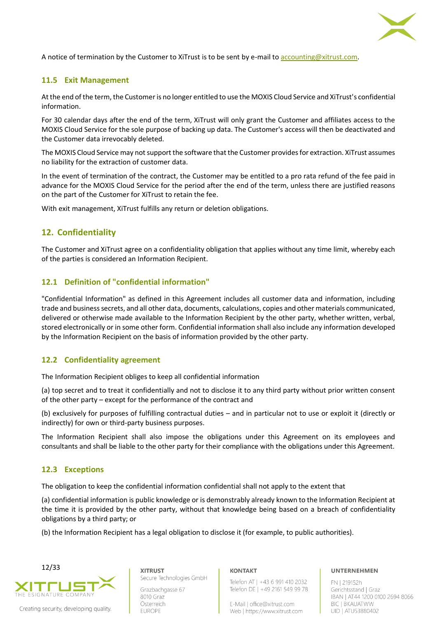

A notice of termination by the Customer to XiTrust is to be sent by e-mail to accounting@xitrust.com.

# <span id="page-11-0"></span>**11.5 Exit Management**

At the end of the term, the Customer is no longer entitled to use the MOXIS Cloud Service and XiTrust's confidential information.

For 30 calendar days after the end of the term, XiTrust will only grant the Customer and affiliates access to the MOXIS Cloud Service for the sole purpose of backing up data. The Customer's access will then be deactivated and the Customer data irrevocably deleted.

The MOXIS Cloud Service may not support the software that the Customer provides for extraction. XiTrust assumes no liability for the extraction of customer data.

In the event of termination of the contract, the Customer may be entitled to a pro rata refund of the fee paid in advance for the MOXIS Cloud Service for the period after the end of the term, unless there are justified reasons on the part of the Customer for XiTrust to retain the fee.

With exit management, XiTrust fulfills any return or deletion obligations.

# <span id="page-11-1"></span>**12. Confidentiality**

The Customer and XiTrust agree on a confidentiality obligation that applies without any time limit, whereby each of the parties is considered an Information Recipient.

# <span id="page-11-2"></span>**12.1 Definition of "confidential information"**

"Confidential Information" as defined in this Agreement includes all customer data and information, including trade and business secrets, and all other data, documents, calculations, copies and other materials communicated, delivered or otherwise made available to the Information Recipient by the other party, whether written, verbal, stored electronically or in some other form. Confidential information shall also include any information developed by the Information Recipient on the basis of information provided by the other party.

# <span id="page-11-3"></span>**12.2 Confidentiality agreement**

The Information Recipient obliges to keep all confidential information

(a) top secret and to treat it confidentially and not to disclose it to any third party without prior written consent of the other party – except for the performance of the contract and

(b) exclusively for purposes of fulfilling contractual duties – and in particular not to use or exploit it (directly or indirectly) for own or third-party business purposes.

The Information Recipient shall also impose the obligations under this Agreement on its employees and consultants and shall be liable to the other party for their compliance with the obligations under this Agreement.

# <span id="page-11-4"></span>**12.3 Exceptions**

The obligation to keep the confidential information confidential shall not apply to the extent that

(a) confidential information is public knowledge or is demonstrably already known to the Information Recipient at the time it is provided by the other party, without that knowledge being based on a breach of confidentiality obligations by a third party; or

(b) the Information Recipient has a legal obligation to disclose it (for example, to public authorities).



**XITRUST** Secure Technologies GmbH

Grazbachgasse 67 8010 Graz Österreich **EUROPE** 

#### **KONTAKT**

Telefon AT | +43 6 991 410 2032 Telefon DE | +49 2161 549 99 78

E-Mail | office@xitrust.com Web | https://www.xitrust.com

### **UNTERNEHMEN**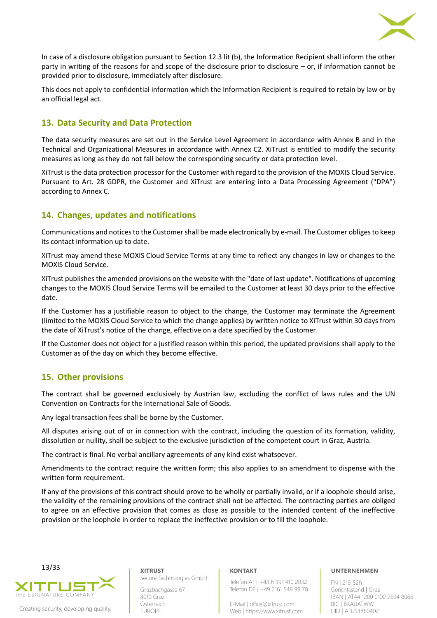

In case of a disclosure obligation pursuant to Section 12.3 lit (b), the Information Recipient shall inform the other party in writing of the reasons for and scope of the disclosure prior to disclosure – or, if information cannot be provided prior to disclosure, immediately after disclosure.

This does not apply to confidential information which the Information Recipient is required to retain by law or by an official legal act.

# <span id="page-12-0"></span>**13. Data Security and Data Protection**

The data security measures are set out in the Service Level Agreement in accordance with Annex B and in the Technical and Organizational Measures in accordance with Annex C2. XiTrust is entitled to modify the security measures as long as they do not fall below the corresponding security or data protection level.

XiTrust is the data protection processor for the Customer with regard to the provision of the MOXIS Cloud Service. Pursuant to Art. 28 GDPR, the Customer and XiTrust are entering into a Data Processing Agreement ("DPA") according to Annex C.

# <span id="page-12-1"></span>**14. Changes, updates and notifications**

Communications and notices to the Customer shall be made electronically by e-mail. The Customer obliges to keep its contact information up to date.

XiTrust may amend these MOXIS Cloud Service Terms at any time to reflect any changes in law or changes to the MOXIS Cloud Service.

XiTrust publishes the amended provisions on the website with the "date of last update". Notifications of upcoming changes to the MOXIS Cloud Service Terms will be emailed to the Customer at least 30 days prior to the effective date.

If the Customer has a justifiable reason to object to the change, the Customer may terminate the Agreement (limited to the MOXIS Cloud Service to which the change applies) by written notice to XiTrust within 30 days from the date of XiTrust's notice of the change, effective on a date specified by the Customer.

If the Customer does not object for a justified reason within this period, the updated provisions shall apply to the Customer as of the day on which they become effective.

# <span id="page-12-2"></span>**15. Other provisions**

The contract shall be governed exclusively by Austrian law, excluding the conflict of laws rules and the UN Convention on Contracts for the International Sale of Goods.

Any legal transaction fees shall be borne by the Customer.

All disputes arising out of or in connection with the contract, including the question of its formation, validity, dissolution or nullity, shall be subject to the exclusive jurisdiction of the competent court in Graz, Austria.

The contract is final. No verbal ancillary agreements of any kind exist whatsoever.

Amendments to the contract require the written form; this also applies to an amendment to dispense with the written form requirement.

If any of the provisions of this contract should prove to be wholly or partially invalid, or if a loophole should arise, the validity of the remaining provisions of the contract shall not be affected. The contracting parties are obliged to agree on an effective provision that comes as close as possible to the intended content of the ineffective provision or the loophole in order to replace the ineffective provision or to fill the loophole.



**XITRUST** Secure Technologies GmbH

Grazbachgasse 67 8010 Graz Österreich **FUROPE** 

#### **KONTAKT**

Telefon AT | +43 6 991 410 2032 Telefon DE | +49 2161 549 99 78

E-Mail | office@xitrust.com Web | https://www.xitrust.com

### **UNTERNEHMEN**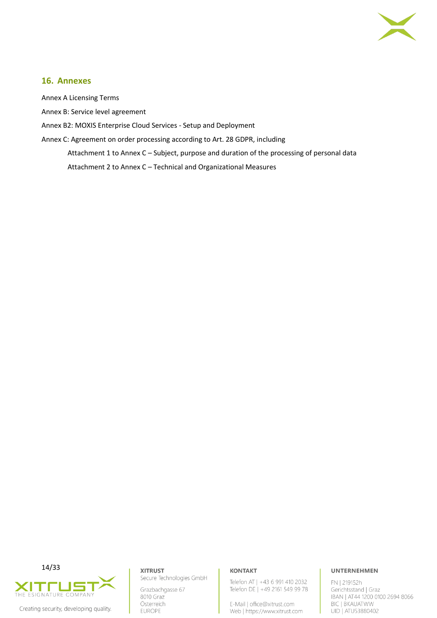

# <span id="page-13-0"></span>**16. Annexes**

Annex A Licensing Terms

Annex B: Service level agreement

Annex B2: MOXIS Enterprise Cloud Services - Setup and Deployment

Annex C: Agreement on order processing according to Art. 28 GDPR, including

Attachment 1 to Annex C – Subject, purpose and duration of the processing of personal data

Attachment 2 to Annex C – Technical and Organizational Measures



**XITRUST** Secure Technologies GmbH

Grazbachgasse 67 8010 Graz Österreich EUROPE

### **KONTAKT**

Telefon AT | +43 6 991 410 2032 Telefon DE | +49 2161 549 99 78

E-Mail | office@xitrust.com Web | https://www.xitrust.com

### **UNTERNEHMEN**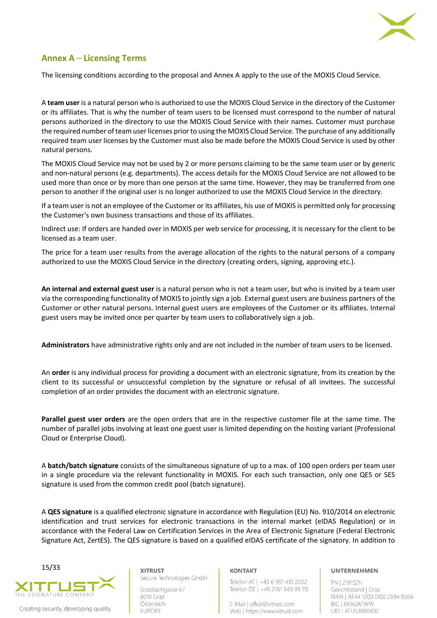

# <span id="page-14-0"></span>**Annex A** – **Licensing Terms**

The licensing conditions according to the proposal and Annex A apply to the use of the MOXIS Cloud Service.

A **team user** is a natural person who is authorized to use the MOXIS Cloud Service in the directory of the Customer or its affiliates. That is why the number of team users to be licensed must correspond to the number of natural persons authorized in the directory to use the MOXIS Cloud Service with their names. Customer must purchase the required number of team user licenses prior to using the MOXIS Cloud Service. The purchase of any additionally required team user licenses by the Customer must also be made before the MOXIS Cloud Service is used by other natural persons.

The MOXIS Cloud Service may not be used by 2 or more persons claiming to be the same team user or by generic and non-natural persons (e.g. departments). The access details for the MOXIS Cloud Service are not allowed to be used more than once or by more than one person at the same time. However, they may be transferred from one person to another if the original user is no longer authorized to use the MOXIS Cloud Service in the directory.

If a team user is not an employee of the Customer or its affiliates, his use of MOXIS is permitted only for processing the Customer's own business transactions and those of its affiliates.

Indirect use: If orders are handed over in MOXIS per web service for processing, it is necessary for the client to be licensed as a team user.

The price for a team user results from the average allocation of the rights to the natural persons of a company authorized to use the MOXIS Cloud Service in the directory (creating orders, signing, approving etc.).

**An internal and external guest user** is a natural person who is not a team user, but who is invited by a team user via the corresponding functionality of MOXIS to jointly sign a job. External guest users are business partners of the Customer or other natural persons. Internal guest users are employees of the Customer or its affiliates. Internal guest users may be invited once per quarter by team users to collaboratively sign a job.

**Administrators** have administrative rights only and are not included in the number of team users to be licensed.

An **order** is any individual process for providing a document with an electronic signature, from its creation by the client to its successful or unsuccessful completion by the signature or refusal of all invitees. The successful completion of an order provides the document with an electronic signature.

**Parallel guest user orders** are the open orders that are in the respective customer file at the same time. The number of parallel jobs involving at least one guest user is limited depending on the hosting variant (Professional Cloud or Enterprise Cloud).

A **batch/batch signature** consists of the simultaneous signature of up to a max. of 100 open orders per team user in a single procedure via the relevant functionality in MOXIS. For each such transaction, only one QES or SES signature is used from the common credit pool (batch signature).

A **QES signature** is a qualified electronic signature in accordance with Regulation (EU) No. 910/2014 on electronic identification and trust services for electronic transactions in the internal market (eIDAS Regulation) or in accordance with the Federal Law on Certification Services in the Area of Electronic Signature (Federal Electronic Signature Act, ZertES). The QES signature is based on a qualified eIDAS certificate of the signatory. In addition to



**XITRUST** Secure Technologies GmbH

Grazbachgasse 67 8010 Graz Österreich EUROPE

#### **KONTAKT**

Telefon AT | +43 6 991 410 2032 Telefon DE | +49 2161 549 99 78

E-Mail | office@xitrust.com Web | https://www.xitrust.com

### **UNTERNEHMEN**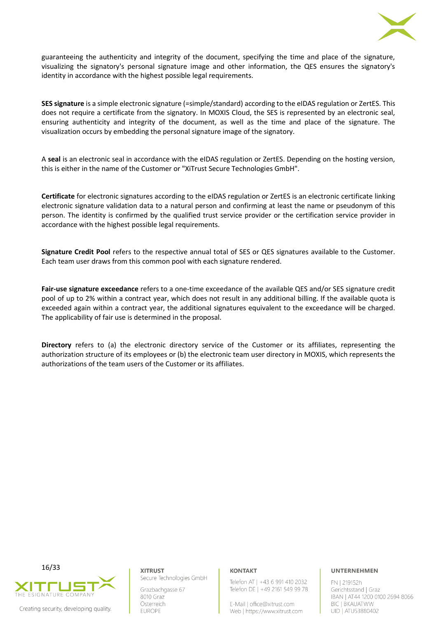

guaranteeing the authenticity and integrity of the document, specifying the time and place of the signature, visualizing the signatory's personal signature image and other information, the QES ensures the signatory's identity in accordance with the highest possible legal requirements.

**SES signature** is a simple electronic signature (=simple/standard) according to the eIDAS regulation or ZertES. This does not require a certificate from the signatory. In MOXIS Cloud, the SES is represented by an electronic seal, ensuring authenticity and integrity of the document, as well as the time and place of the signature. The visualization occurs by embedding the personal signature image of the signatory.

A **seal** is an electronic seal in accordance with the eIDAS regulation or ZertES. Depending on the hosting version, this is either in the name of the Customer or "XiTrust Secure Technologies GmbH".

**Certificate** for electronic signatures according to the eIDAS regulation or ZertES is an electronic certificate linking electronic signature validation data to a natural person and confirming at least the name or pseudonym of this person. The identity is confirmed by the qualified trust service provider or the certification service provider in accordance with the highest possible legal requirements.

**Signature Credit Pool** refers to the respective annual total of SES or QES signatures available to the Customer. Each team user draws from this common pool with each signature rendered.

**Fair-use signature exceedance** refers to a one-time exceedance of the available QES and/or SES signature credit pool of up to 2% within a contract year, which does not result in any additional billing. If the available quota is exceeded again within a contract year, the additional signatures equivalent to the exceedance will be charged. The applicability of fair use is determined in the proposal.

**Directory** refers to (a) the electronic directory service of the Customer or its affiliates, representing the authorization structure of its employees or (b) the electronic team user directory in MOXIS, which represents the authorizations of the team users of the Customer or its affiliates.



Creating security, developing quality.

**XITRUST** Secure Technologies GmbH

Grazbachgasse 67 8010 Graz Österreich **EUROPE** 

### **KONTAKT**

Telefon AT | +43 6 991 410 2032 Telefon DE | +49 2161 549 99 78

E-Mail | office@xitrust.com Web | https://www.xitrust.com

### **UNTERNEHMEN**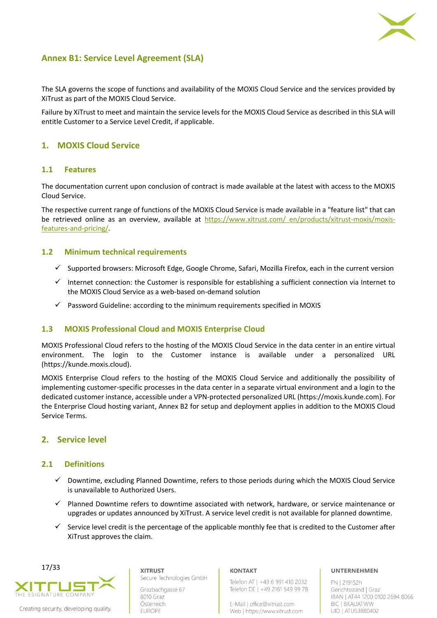

# <span id="page-16-0"></span>**Annex B1: Service Level Agreement (SLA)**

The SLA governs the scope of functions and availability of the MOXIS Cloud Service and the services provided by XiTrust as part of the MOXIS Cloud Service.

Failure by XiTrust to meet and maintain the service levels for the MOXIS Cloud Service as described in this SLA will entitle Customer to a Service Level Credit, if applicable.

# <span id="page-16-1"></span>**1. MOXIS Cloud Service**

### <span id="page-16-2"></span>**1.1 Features**

The documentation current upon conclusion of contract is made available at the latest with access to the MOXIS Cloud Service.

The respective current range of functions of the MOXIS Cloud Service is made available in a "feature list" that can be retrieved online as an overview, available at [https://www.xitrust.com/ en/products/xitrust-moxis/moxis](https://www.xitrust.com/en/products/xitrust-moxis/moxis-features-and-pricing/)[features-and-pricing/.](https://www.xitrust.com/en/products/xitrust-moxis/moxis-features-and-pricing/)

## <span id="page-16-3"></span>**1.2 Minimum technical requirements**

- ✓ Supported browsers: Microsoft Edge, Google Chrome, Safari, Mozilla Firefox, each in the current version
- $\checkmark$  Internet connection: the Customer is responsible for establishing a sufficient connection via Internet to the MOXIS Cloud Service as a web-based on-demand solution
- $\checkmark$  Password Guideline: according to the minimum requirements specified in MOXIS

## <span id="page-16-4"></span>**1.3 MOXIS Professional Cloud and MOXIS Enterprise Cloud**

MOXIS Professional Cloud refers to the hosting of the MOXIS Cloud Service in the data center in an entire virtual environment. The login to the Customer instance is available under a personalized URL (https://kunde.moxis.cloud).

MOXIS Enterprise Cloud refers to the hosting of the MOXIS Cloud Service and additionally the possibility of implementing customer-specific processes in the data center in a separate virtual environment and a login to the dedicated customer instance, accessible under a VPN-protected personalized URL (https://moxis.kunde.com). For the Enterprise Cloud hosting variant, Annex B2 for setup and deployment applies in addition to the MOXIS Cloud Service Terms.

# <span id="page-16-5"></span>**2. Service level**

## <span id="page-16-6"></span>**2.1 Definitions**

- ✓ Downtime, excluding Planned Downtime, refers to those periods during which the MOXIS Cloud Service is unavailable to Authorized Users.
- ✓ Planned Downtime refers to downtime associated with network, hardware, or service maintenance or upgrades or updates announced by XiTrust. A service level credit is not available for planned downtime.
- Service level credit is the percentage of the applicable monthly fee that is credited to the Customer after XiTrust approves the claim.



Secure Technologies GmbH

**XITRUST** 

Grazbachgasse 67 8010 Graz Österreich **EUROPE** 

#### **KONTAKT**

Telefon AT | +43 6 991 410 2032 Telefon DE | +49 2161 549 99 78

E-Mail | office@xitrust.com Web | https://www.xitrust.com

### **UNTERNEHMEN**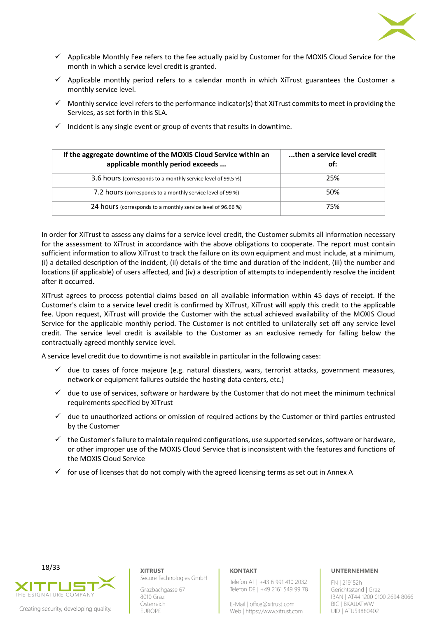

- ✓ Applicable Monthly Fee refers to the fee actually paid by Customer for the MOXIS Cloud Service for the month in which a service level credit is granted.
- ✓ Applicable monthly period refers to a calendar month in which XiTrust guarantees the Customer a monthly service level.
- Monthly service level refers to the performance indicator(s) that XiTrust commits to meet in providing the Services, as set forth in this SLA.

| If the aggregate downtime of the MOXIS Cloud Service within an<br>applicable monthly period exceeds | then a service level credit<br>of: |
|-----------------------------------------------------------------------------------------------------|------------------------------------|
| 3.6 hours (corresponds to a monthly service level of 99.5 %)                                        | 25%                                |
| 7.2 hours (corresponds to a monthly service level of 99 %)                                          | 50%                                |
| 24 hours (corresponds to a monthly service level of 96.66 %)                                        | 75%                                |

 $\checkmark$  Incident is any single event or group of events that results in downtime.

In order for XiTrust to assess any claims for a service level credit, the Customer submits all information necessary for the assessment to XiTrust in accordance with the above obligations to cooperate. The report must contain sufficient information to allow XiTrust to track the failure on its own equipment and must include, at a minimum, (i) a detailed description of the incident, (ii) details of the time and duration of the incident, (iii) the number and locations (if applicable) of users affected, and (iv) a description of attempts to independently resolve the incident after it occurred.

XiTrust agrees to process potential claims based on all available information within 45 days of receipt. If the Customer's claim to a service level credit is confirmed by XiTrust, XiTrust will apply this credit to the applicable fee. Upon request, XiTrust will provide the Customer with the actual achieved availability of the MOXIS Cloud Service for the applicable monthly period. The Customer is not entitled to unilaterally set off any service level credit. The service level credit is available to the Customer as an exclusive remedy for falling below the contractually agreed monthly service level.

A service level credit due to downtime is not available in particular in the following cases:

- $\checkmark$  due to cases of force majeure (e.g. natural disasters, wars, terrorist attacks, government measures, network or equipment failures outside the hosting data centers, etc.)
- $\checkmark$  due to use of services, software or hardware by the Customer that do not meet the minimum technical requirements specified by XiTrust
- $\checkmark$  due to unauthorized actions or omission of required actions by the Customer or third parties entrusted by the Customer
- ✓ the Customer's failure to maintain required configurations, use supported services, software or hardware, or other improper use of the MOXIS Cloud Service that is inconsistent with the features and functions of the MOXIS Cloud Service
- $\checkmark$  for use of licenses that do not comply with the agreed licensing terms as set out in Annex A



Creating security, developing quality.

**XITRUST** Secure Technologies GmbH

Grazbachgasse 67 8010 Graz Österreich **EUROPE** 

### **KONTAKT**

Telefon AT | +43 6 991 410 2032 Telefon DE | +49 2161 549 99 78

E-Mail | office@xitrust.com Web | https://www.xitrust.com

### **UNTERNEHMEN**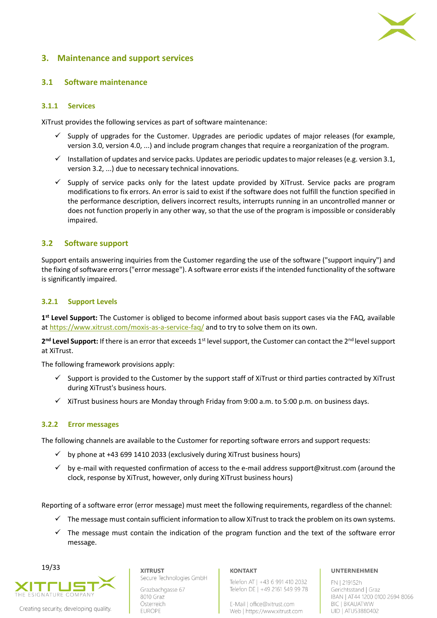

# <span id="page-18-0"></span>**3. Maintenance and support services**

### <span id="page-18-1"></span>**3.1 Software maintenance**

### <span id="page-18-2"></span>**3.1.1 Services**

XiTrust provides the following services as part of software maintenance:

- $\checkmark$  Supply of upgrades for the Customer. Upgrades are periodic updates of major releases (for example, version 3.0, version 4.0, ...) and include program changes that require a reorganization of the program.
- $\checkmark$  Installation of updates and service packs. Updates are periodic updates to major releases (e.g. version 3.1, version 3.2, ...) due to necessary technical innovations.
- $\checkmark$  Supply of service packs only for the latest update provided by XiTrust. Service packs are program modifications to fix errors. An error is said to exist if the software does not fulfill the function specified in the performance description, delivers incorrect results, interrupts running in an uncontrolled manner or does not function properly in any other way, so that the use of the program is impossible or considerably impaired.

# <span id="page-18-3"></span>**3.2 Software support**

Support entails answering inquiries from the Customer regarding the use of the software ("support inquiry") and the fixing of software errors ("error message"). A software error exists if the intended functionality of the software is significantly impaired.

### <span id="page-18-4"></span>**3.2.1 Support Levels**

**1 st Level Support:** The Customer is obliged to become informed about basis support cases via the FAQ, available a[t https://www.xitrust.com/moxis-as-a-service-faq/](https://www.xitrust.com/moxis-as-a-service-faq/) and to try to solve them on its own.

2<sup>nd</sup> Level Support: If there is an error that exceeds 1<sup>st</sup> level support, the Customer can contact the 2<sup>nd</sup> level support at XiTrust.

The following framework provisions apply:

- $\checkmark$  Support is provided to the Customer by the support staff of XiTrust or third parties contracted by XiTrust during XiTrust's business hours.
- ✓ XiTrust business hours are Monday through Friday from 9:00 a.m. to 5:00 p.m. on business days.

### <span id="page-18-5"></span>**3.2.2 Error messages**

The following channels are available to the Customer for reporting software errors and support requests:

- $\checkmark$  by phone at +43 699 1410 2033 (exclusively during XiTrust business hours)
- $\checkmark$  by e-mail with requested confirmation of access to the e-mail address support@xitrust.com (around the clock, response by XiTrust, however, only during XiTrust business hours)

Reporting of a software error (error message) must meet the following requirements, regardless of the channel:

- $\checkmark$  The message must contain sufficient information to allow XiTrust to track the problem on its own systems.
- $\checkmark$  The message must contain the indication of the program function and the text of the software error message.

19/33 THE ESIGNATURE COMPANY

Creating security, developing quality.

**XITRUST** Secure Technologies GmbH

Grazbachgasse 67 8010 Graz Österreich

**EUROPE** 

### **KONTAKT**

Telefon AT | +43 6 991 410 2032 Telefon DE | +49 2161 549 99 78

E-Mail | office@xitrust.com Web | https://www.xitrust.com

### **UNTERNEHMEN**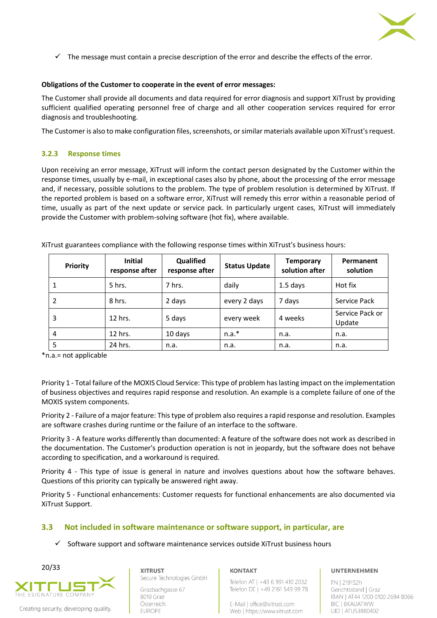

 $\checkmark$  The message must contain a precise description of the error and describe the effects of the error.

### **Obligations of the Customer to cooperate in the event of error messages:**

The Customer shall provide all documents and data required for error diagnosis and support XiTrust by providing sufficient qualified operating personnel free of charge and all other cooperation services required for error diagnosis and troubleshooting.

The Customer is also to make configuration files, screenshots, or similar materials available upon XiTrust's request.

### <span id="page-19-0"></span>**3.2.3 Response times**

Upon receiving an error message, XiTrust will inform the contact person designated by the Customer within the response times, usually by e-mail, in exceptional cases also by phone, about the processing of the error message and, if necessary, possible solutions to the problem. The type of problem resolution is determined by XiTrust. If the reported problem is based on a software error, XiTrust will remedy this error within a reasonable period of time, usually as part of the next update or service pack. In particularly urgent cases, XiTrust will immediately provide the Customer with problem-solving software (hot fix), where available.

| Priority | <b>Initial</b><br>response after | Qualified<br>response after | <b>Status Update</b> | <b>Temporary</b><br>solution after | Permanent<br>solution     |
|----------|----------------------------------|-----------------------------|----------------------|------------------------------------|---------------------------|
|          | 5 hrs.                           | 7 hrs.                      | daily                | $1.5$ days                         | Hot fix                   |
| 2        | 8 hrs.                           | 2 days                      | every 2 days         | 7 days                             | Service Pack              |
| 3        | 12 hrs.                          | 5 days                      | every week           | 4 weeks                            | Service Pack or<br>Update |
| 4        | 12 hrs.                          | 10 days                     | $n.a.*$              | n.a.                               | n.a.                      |
| 5        | 24 hrs.                          | n.a.                        | n.a.                 | n.a.                               | n.a.                      |

XiTrust guarantees compliance with the following response times within XiTrust's business hours:

\*n.a.= not applicable

Priority 1 - Total failure of the MOXIS Cloud Service: This type of problem has lasting impact on the implementation of business objectives and requires rapid response and resolution. An example is a complete failure of one of the MOXIS system components.

Priority 2 - Failure of a major feature: This type of problem also requires a rapid response and resolution. Examples are software crashes during runtime or the failure of an interface to the software.

Priority 3 - A feature works differently than documented: A feature of the software does not work as described in the documentation. The Customer's production operation is not in jeopardy, but the software does not behave according to specification, and a workaround is required.

Priority 4 - This type of issue is general in nature and involves questions about how the software behaves. Questions of this priority can typically be answered right away.

Priority 5 - Functional enhancements: Customer requests for functional enhancements are also documented via XiTrust Support.

## <span id="page-19-1"></span>**3.3 Not included in software maintenance or software support, in particular, are**

### $\checkmark$  Software support and software maintenance services outside XiTrust business hours

20/33



Creating security, developing quality.

**XITRUST** Secure Technologies GmbH

Grazbachgasse 67 8010 Graz Österreich **EUROPE** 

**KONTAKT** 

Telefon AT | +43 6 991 410 2032 Telefon DE | +49 2161 549 99 78

E-Mail | office@xitrust.com Web | https://www.xitrust.com

### **UNTERNEHMEN**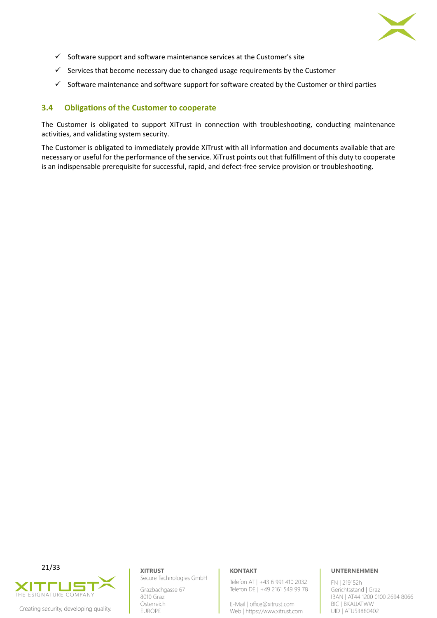

- $\checkmark$  Software support and software maintenance services at the Customer's site
- $\checkmark$  Services that become necessary due to changed usage requirements by the Customer
- $\checkmark$  Software maintenance and software support for software created by the Customer or third parties

# <span id="page-20-0"></span>**3.4 Obligations of the Customer to cooperate**

The Customer is obligated to support XiTrust in connection with troubleshooting, conducting maintenance activities, and validating system security.

The Customer is obligated to immediately provide XiTrust with all information and documents available that are necessary or useful for the performance of the service. XiTrust points out that fulfillment of this duty to cooperate is an indispensable prerequisite for successful, rapid, and defect-free service provision or troubleshooting.



**XITRUST** Secure Technologies GmbH

Grazbachgasse 67 8010 Graz Österreich **EUROPE** 

### **KONTAKT**

Telefon AT | +43 6 991 410 2032 Telefon DE | +49 2161 549 99 78

E-Mail | office@xitrust.com Web | https://www.xitrust.com

### **UNTERNEHMEN**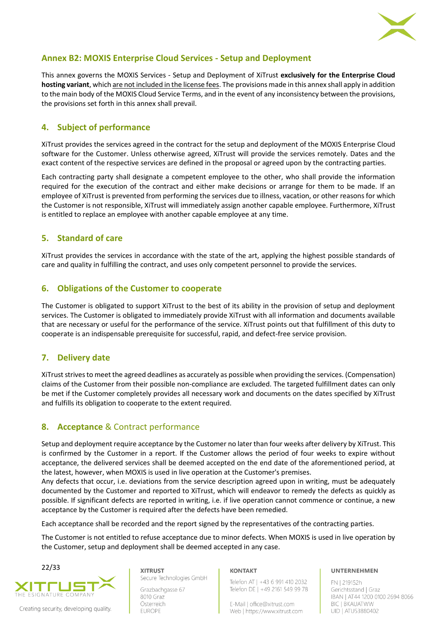

# <span id="page-21-0"></span>**Annex B2: MOXIS Enterprise Cloud Services - Setup and Deployment**

This annex governs the MOXIS Services - Setup and Deployment of XiTrust **exclusively for the Enterprise Cloud hosting variant**, which are not included in the license fees. The provisions made in this annex shall apply in addition to the main body of the MOXIS Cloud Service Terms, and in the event of any inconsistency between the provisions, the provisions set forth in this annex shall prevail.

# <span id="page-21-1"></span>**4. Subject of performance**

XiTrust provides the services agreed in the contract for the setup and deployment of the MOXIS Enterprise Cloud software for the Customer. Unless otherwise agreed, XiTrust will provide the services remotely. Dates and the exact content of the respective services are defined in the proposal or agreed upon by the contracting parties.

Each contracting party shall designate a competent employee to the other, who shall provide the information required for the execution of the contract and either make decisions or arrange for them to be made. If an employee of XiTrust is prevented from performing the services due to illness, vacation, or other reasons for which the Customer is not responsible, XiTrust will immediately assign another capable employee. Furthermore, XiTrust is entitled to replace an employee with another capable employee at any time.

# <span id="page-21-2"></span>**5. Standard of care**

XiTrust provides the services in accordance with the state of the art, applying the highest possible standards of care and quality in fulfilling the contract, and uses only competent personnel to provide the services.

# <span id="page-21-3"></span>**6. Obligations of the Customer to cooperate**

The Customer is obligated to support XiTrust to the best of its ability in the provision of setup and deployment services. The Customer is obligated to immediately provide XiTrust with all information and documents available that are necessary or useful for the performance of the service. XiTrust points out that fulfillment of this duty to cooperate is an indispensable prerequisite for successful, rapid, and defect-free service provision.

# <span id="page-21-4"></span>**7. Delivery date**

XiTrust strives to meet the agreed deadlines as accurately as possible when providing the services. (Compensation) claims of the Customer from their possible non-compliance are excluded. The targeted fulfillment dates can only be met if the Customer completely provides all necessary work and documents on the dates specified by XiTrust and fulfills its obligation to cooperate to the extent required.

# <span id="page-21-5"></span>**8. Acceptance** & Contract performance

Setup and deployment require acceptance by the Customer no later than four weeks after delivery by XiTrust. This is confirmed by the Customer in a report. If the Customer allows the period of four weeks to expire without acceptance, the delivered services shall be deemed accepted on the end date of the aforementioned period, at the latest, however, when MOXIS is used in live operation at the Customer's premises.

Any defects that occur, i.e. deviations from the service description agreed upon in writing, must be adequately documented by the Customer and reported to XiTrust, which will endeavor to remedy the defects as quickly as possible. If significant defects are reported in writing, i.e. if live operation cannot commence or continue, a new acceptance by the Customer is required after the defects have been remedied.

Each acceptance shall be recorded and the report signed by the representatives of the contracting parties.

The Customer is not entitled to refuse acceptance due to minor defects. When MOXIS is used in live operation by the Customer, setup and deployment shall be deemed accepted in any case.

22/33 THE ESIGNATURE COMPANY

**XITRUST** Secure Technologies GmbH

Grazbachgasse 67 8010 Graz Österreich **EUROPE** 

#### **KONTAKT**

Telefon AT | +43 6 991 410 2032 Telefon DE | +49 2161 549 99 78

E-Mail | office@xitrust.com Web | https://www.xitrust.com

### **UNTERNEHMEN**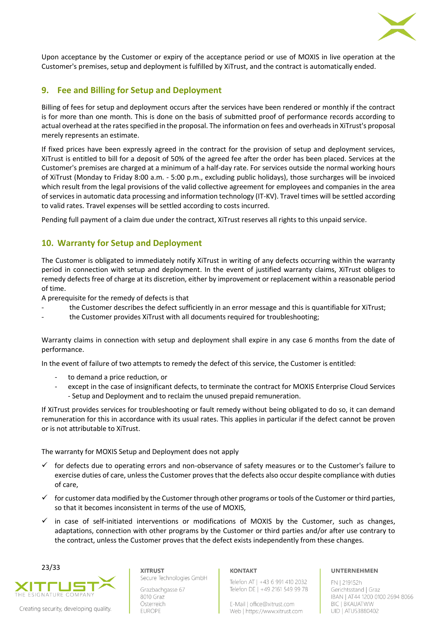

Upon acceptance by the Customer or expiry of the acceptance period or use of MOXIS in live operation at the Customer's premises, setup and deployment is fulfilled by XiTrust, and the contract is automatically ended.

# <span id="page-22-0"></span>**9. Fee and Billing for Setup and Deployment**

Billing of fees for setup and deployment occurs after the services have been rendered or monthly if the contract is for more than one month. This is done on the basis of submitted proof of performance records according to actual overhead at the rates specified in the proposal. The information on fees and overheads in XiTrust's proposal merely represents an estimate.

If fixed prices have been expressly agreed in the contract for the provision of setup and deployment services, XiTrust is entitled to bill for a deposit of 50% of the agreed fee after the order has been placed. Services at the Customer's premises are charged at a minimum of a half-day rate. For services outside the normal working hours of XiTrust (Monday to Friday 8:00 a.m. - 5:00 p.m., excluding public holidays), those surcharges will be invoiced which result from the legal provisions of the valid collective agreement for employees and companies in the area of services in automatic data processing and information technology (IT-KV). Travel times will be settled according to valid rates. Travel expenses will be settled according to costs incurred.

Pending full payment of a claim due under the contract, XiTrust reserves all rights to this unpaid service.

# <span id="page-22-1"></span>**10. Warranty for Setup and Deployment**

The Customer is obligated to immediately notify XiTrust in writing of any defects occurring within the warranty period in connection with setup and deployment. In the event of justified warranty claims, XiTrust obliges to remedy defects free of charge at its discretion, either by improvement or replacement within a reasonable period of time.

A prerequisite for the remedy of defects is that

- the Customer describes the defect sufficiently in an error message and this is quantifiable for XiTrust;
- the Customer provides XiTrust with all documents required for troubleshooting;

Warranty claims in connection with setup and deployment shall expire in any case 6 months from the date of performance.

In the event of failure of two attempts to remedy the defect of this service, the Customer is entitled:

- to demand a price reduction, or
- except in the case of insignificant defects, to terminate the contract for MOXIS Enterprise Cloud Services - Setup and Deployment and to reclaim the unused prepaid remuneration.

If XiTrust provides services for troubleshooting or fault remedy without being obligated to do so, it can demand remuneration for this in accordance with its usual rates. This applies in particular if the defect cannot be proven or is not attributable to XiTrust.

The warranty for MOXIS Setup and Deployment does not apply

- $\checkmark$  for defects due to operating errors and non-observance of safety measures or to the Customer's failure to exercise duties of care, unless the Customer proves that the defects also occur despite compliance with duties of care,
- $\checkmark$  for customer data modified by the Customer through other programs or tools of the Customer or third parties, so that it becomes inconsistent in terms of the use of MOXIS,
- ✓ in case of self-initiated interventions or modifications of MOXIS by the Customer, such as changes, adaptations, connection with other programs by the Customer or third parties and/or after use contrary to the contract, unless the Customer proves that the defect exists independently from these changes.



**XITRUST** Secure Technologies GmbH

Grazbachgasse 67 8010 Graz Österreich **EUROPE** 

**KONTAKT** 

Telefon AT | +43 6 991 410 2032 Telefon DE | +49 2161 549 99 78

E-Mail | office@xitrust.com Web | https://www.xitrust.com

### **UNTERNEHMEN**

FN | 219152h Gerichtsstand | Graz IBAN | AT44 1200 0100 2694 8066 **BIC | BKAUATWW** UID | ATU53880402

Creating security, developing quality.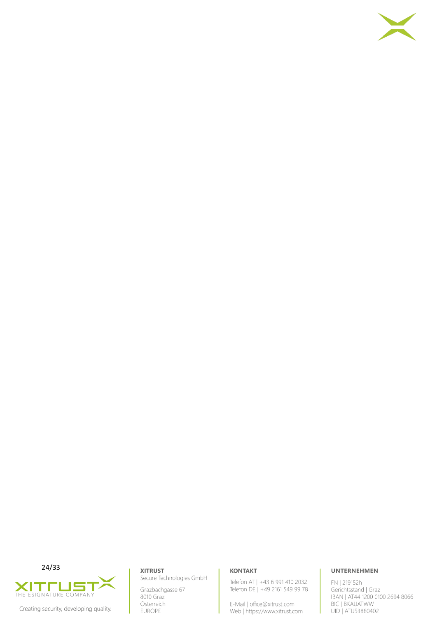



Creating security, developing quality.

#### **XITRUST** Secure Technologies GmbH

Grazbachgasse 67<br>8010 Graz Österreich **EUROPE** 

### **KONTAKT**

Telefon AT | +43 6 991 410 2032<br>Telefon DE | +49 2161 549 99 78

E-Mail | office@xitrust.com<br>Web | https://www.xitrust.com

#### **UNTERNEHMEN**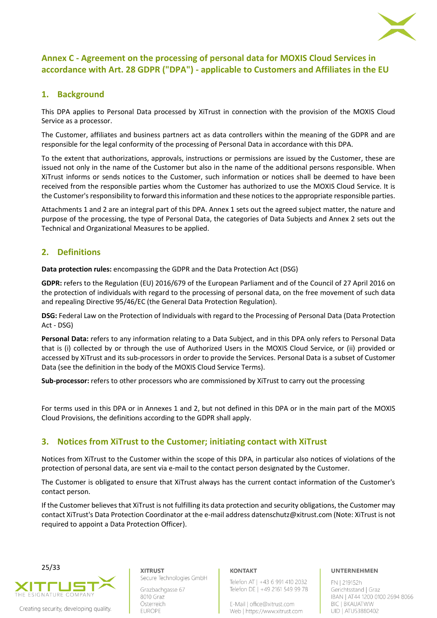

# <span id="page-24-0"></span>**Annex C - Agreement on the processing of personal data for MOXIS Cloud Services in accordance with Art. 28 GDPR ("DPA") - applicable to Customers and Affiliates in the EU**

# <span id="page-24-1"></span>**1. Background**

This DPA applies to Personal Data processed by XiTrust in connection with the provision of the MOXIS Cloud Service as a processor.

The Customer, affiliates and business partners act as data controllers within the meaning of the GDPR and are responsible for the legal conformity of the processing of Personal Data in accordance with this DPA.

To the extent that authorizations, approvals, instructions or permissions are issued by the Customer, these are issued not only in the name of the Customer but also in the name of the additional persons responsible. When XiTrust informs or sends notices to the Customer, such information or notices shall be deemed to have been received from the responsible parties whom the Customer has authorized to use the MOXIS Cloud Service. It is the Customer's responsibility to forward this information and these notices to the appropriate responsible parties.

Attachments 1 and 2 are an integral part of this DPA. Annex 1 sets out the agreed subject matter, the nature and purpose of the processing, the type of Personal Data, the categories of Data Subjects and Annex 2 sets out the Technical and Organizational Measures to be applied.

# <span id="page-24-2"></span>**2. Definitions**

**Data protection rules:** encompassing the GDPR and the Data Protection Act (DSG)

**GDPR:** refers to the Regulation (EU) 2016/679 of the European Parliament and of the Council of 27 April 2016 on the protection of individuals with regard to the processing of personal data, on the free movement of such data and repealing Directive 95/46/EC (the General Data Protection Regulation).

**DSG:** Federal Law on the Protection of Individuals with regard to the Processing of Personal Data (Data Protection Act - DSG)

**Personal Data:** refers to any information relating to a Data Subject, and in this DPA only refers to Personal Data that is (i) collected by or through the use of Authorized Users in the MOXIS Cloud Service, or (ii) provided or accessed by XiTrust and its sub-processors in order to provide the Services. Personal Data is a subset of Customer Data (see the definition in the body of the MOXIS Cloud Service Terms).

**Sub-processor:** refers to other processors who are commissioned by XiTrust to carry out the processing

For terms used in this DPA or in Annexes 1 and 2, but not defined in this DPA or in the main part of the MOXIS Cloud Provisions, the definitions according to the GDPR shall apply.

# <span id="page-24-3"></span>**3. Notices from XiTrust to the Customer; initiating contact with XiTrust**

Notices from XiTrust to the Customer within the scope of this DPA, in particular also notices of violations of the protection of personal data, are sent via e-mail to the contact person designated by the Customer.

The Customer is obligated to ensure that XiTrust always has the current contact information of the Customer's contact person.

If the Customer believes that XiTrust is not fulfilling its data protection and security obligations, the Customer may contact XiTrust's Data Protection Coordinator at the e-mail address datenschutz@xitrust.com (Note: XiTrust is not required to appoint a Data Protection Officer).



**XITRUST** Secure Technologies GmbH

Grazbachgasse 67 8010 Graz Österreich **EUROPE** 

#### **KONTAKT**

Telefon AT | +43 6 991 410 2032 Telefon DE | +49 2161 549 99 78

E-Mail | office@xitrust.com Web | https://www.xitrust.com

### **UNTERNEHMEN**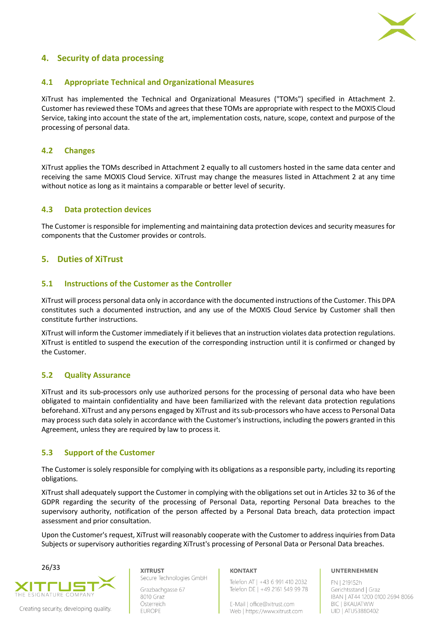

# <span id="page-25-0"></span>**4. Security of data processing**

## <span id="page-25-1"></span>**4.1 Appropriate Technical and Organizational Measures**

XiTrust has implemented the Technical and Organizational Measures ("TOMs") specified in Attachment 2. Customer has reviewed these TOMs and agrees that these TOMs are appropriate with respect to the MOXIS Cloud Service, taking into account the state of the art, implementation costs, nature, scope, context and purpose of the processing of personal data.

## <span id="page-25-2"></span>**4.2 Changes**

XiTrust applies the TOMs described in Attachment 2 equally to all customers hosted in the same data center and receiving the same MOXIS Cloud Service. XiTrust may change the measures listed in Attachment 2 at any time without notice as long as it maintains a comparable or better level of security.

### <span id="page-25-3"></span>**4.3 Data protection devices**

The Customer is responsible for implementing and maintaining data protection devices and security measures for components that the Customer provides or controls.

## <span id="page-25-4"></span>**5. Duties of XiTrust**

### <span id="page-25-5"></span>**5.1 Instructions of the Customer as the Controller**

XiTrust will process personal data only in accordance with the documented instructions of the Customer. This DPA constitutes such a documented instruction, and any use of the MOXIS Cloud Service by Customer shall then constitute further instructions.

XiTrust will inform the Customer immediately if it believes that an instruction violates data protection regulations. XiTrust is entitled to suspend the execution of the corresponding instruction until it is confirmed or changed by the Customer.

## <span id="page-25-6"></span>**5.2 Quality Assurance**

XiTrust and its sub-processors only use authorized persons for the processing of personal data who have been obligated to maintain confidentiality and have been familiarized with the relevant data protection regulations beforehand. XiTrust and any persons engaged by XiTrust and its sub-processors who have access to Personal Data may process such data solely in accordance with the Customer's instructions, including the powers granted in this Agreement, unless they are required by law to process it.

## <span id="page-25-7"></span>**5.3 Support of the Customer**

The Customer is solely responsible for complying with its obligations as a responsible party, including its reporting obligations.

XiTrust shall adequately support the Customer in complying with the obligations set out in Articles 32 to 36 of the GDPR regarding the security of the processing of Personal Data, reporting Personal Data breaches to the supervisory authority, notification of the person affected by a Personal Data breach, data protection impact assessment and prior consultation.

Upon the Customer's request, XiTrust will reasonably cooperate with the Customer to address inquiries from Data Subjects or supervisory authorities regarding XiTrust's processing of Personal Data or Personal Data breaches.

26/33



**XITRUST** Secure Technologies GmbH

Grazbachgasse 67 8010 Graz Österreich **FUROPE** 

#### **KONTAKT**

Telefon AT | +43 6 991 410 2032 Telefon DE | +49 2161 549 99 78

E-Mail | office@xitrust.com Web | https://www.xitrust.com

### **UNTERNEHMEN**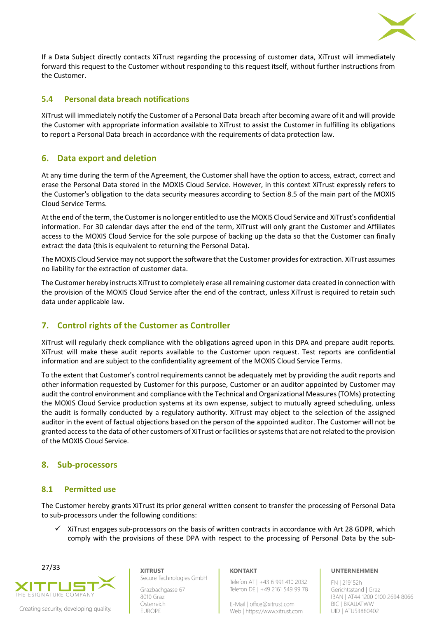

If a Data Subject directly contacts XiTrust regarding the processing of customer data, XiTrust will immediately forward this request to the Customer without responding to this request itself, without further instructions from the Customer.

# <span id="page-26-0"></span>**5.4 Personal data breach notifications**

XiTrust will immediately notify the Customer of a Personal Data breach after becoming aware of it and will provide the Customer with appropriate information available to XiTrust to assist the Customer in fulfilling its obligations to report a Personal Data breach in accordance with the requirements of data protection law.

# <span id="page-26-1"></span>**6. Data export and deletion**

At any time during the term of the Agreement, the Customer shall have the option to access, extract, correct and erase the Personal Data stored in the MOXIS Cloud Service. However, in this context XiTrust expressly refers to the Customer's obligation to the data security measures according to Section 8.5 of the main part of the MOXIS Cloud Service Terms.

At the end of the term, the Customer is no longer entitled to use the MOXIS Cloud Service and XiTrust's confidential information. For 30 calendar days after the end of the term, XiTrust will only grant the Customer and Affiliates access to the MOXIS Cloud Service for the sole purpose of backing up the data so that the Customer can finally extract the data (this is equivalent to returning the Personal Data).

The MOXIS Cloud Service may not support the software that the Customer provides for extraction. XiTrust assumes no liability for the extraction of customer data.

The Customer hereby instructs XiTrust to completely erase all remaining customer data created in connection with the provision of the MOXIS Cloud Service after the end of the contract, unless XiTrust is required to retain such data under applicable law.

# <span id="page-26-2"></span>**7. Control rights of the Customer as Controller**

XiTrust will regularly check compliance with the obligations agreed upon in this DPA and prepare audit reports. XiTrust will make these audit reports available to the Customer upon request. Test reports are confidential information and are subject to the confidentiality agreement of the MOXIS Cloud Service Terms.

To the extent that Customer's control requirements cannot be adequately met by providing the audit reports and other information requested by Customer for this purpose, Customer or an auditor appointed by Customer may audit the control environment and compliance with the Technical and Organizational Measures (TOMs) protecting the MOXIS Cloud Service production systems at its own expense, subject to mutually agreed scheduling, unless the audit is formally conducted by a regulatory authority. XiTrust may object to the selection of the assigned auditor in the event of factual objections based on the person of the appointed auditor. The Customer will not be granted access to the data of other customers of XiTrust or facilities or systems that are not related to the provision of the MOXIS Cloud Service.

# <span id="page-26-3"></span>**8. Sub-processors**

## <span id="page-26-4"></span>**8.1 Permitted use**

The Customer hereby grants XiTrust its prior general written consent to transfer the processing of Personal Data to sub-processors under the following conditions:

 $\checkmark$  XiTrust engages sub-processors on the basis of written contracts in accordance with Art 28 GDPR, which comply with the provisions of these DPA with respect to the processing of Personal Data by the sub-



Creating security, developing quality.

**XITRUST** Secure Technologies GmbH

Grazbachgasse 67 8010 Graz Österreich **FUROPE** 

#### **KONTAKT**

Telefon AT | +43 6 991 410 2032 Telefon DE | +49 2161 549 99 78

E-Mail | office@xitrust.com Web | https://www.xitrust.com

### **UNTERNEHMEN**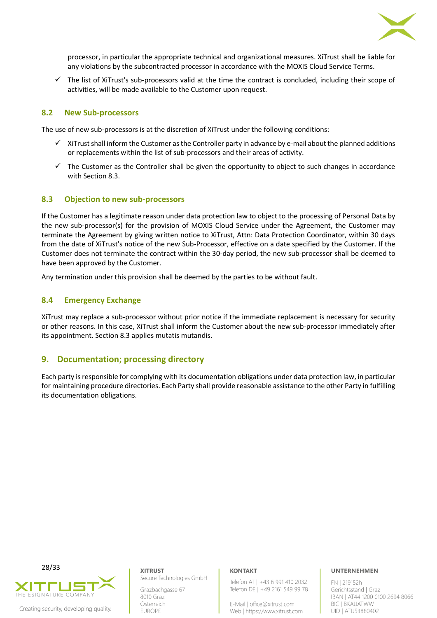

processor, in particular the appropriate technical and organizational measures. XiTrust shall be liable for any violations by the subcontracted processor in accordance with the MOXIS Cloud Service Terms.

 $\checkmark$  The list of XiTrust's sub-processors valid at the time the contract is concluded, including their scope of activities, will be made available to the Customer upon request.

## <span id="page-27-0"></span>**8.2 New Sub-processors**

The use of new sub-processors is at the discretion of XiTrust under the following conditions:

- ✓ XiTrust shall inform the Customer as the Controller party in advance by e-mail about the planned additions or replacements within the list of sub-processors and their areas of activity.
- $\checkmark$  The Customer as the Controller shall be given the opportunity to object to such changes in accordance with Section 8.3.

# <span id="page-27-1"></span>**8.3 Objection to new sub-processors**

If the Customer has a legitimate reason under data protection law to object to the processing of Personal Data by the new sub-processor(s) for the provision of MOXIS Cloud Service under the Agreement, the Customer may terminate the Agreement by giving written notice to XiTrust, Attn: Data Protection Coordinator, within 30 days from the date of XiTrust's notice of the new Sub-Processor, effective on a date specified by the Customer. If the Customer does not terminate the contract within the 30-day period, the new sub-processor shall be deemed to have been approved by the Customer.

Any termination under this provision shall be deemed by the parties to be without fault.

# <span id="page-27-2"></span>**8.4 Emergency Exchange**

XiTrust may replace a sub-processor without prior notice if the immediate replacement is necessary for security or other reasons. In this case, XiTrust shall inform the Customer about the new sub-processor immediately after its appointment. Section 8.3 applies mutatis mutandis.

# <span id="page-27-3"></span>**9. Documentation; processing directory**

Each party is responsible for complying with its documentation obligations under data protection law, in particular for maintaining procedure directories. Each Party shall provide reasonable assistance to the other Party in fulfilling its documentation obligations.



**XITRUST** Secure Technologies GmbH

Grazbachgasse 67 8010 Graz Österreich **EUROPE** 

### **KONTAKT**

Telefon AT | +43 6 991 410 2032 Telefon DE | +49 2161 549 99 78

E-Mail | office@xitrust.com Web | https://www.xitrust.com

### **UNTERNEHMEN**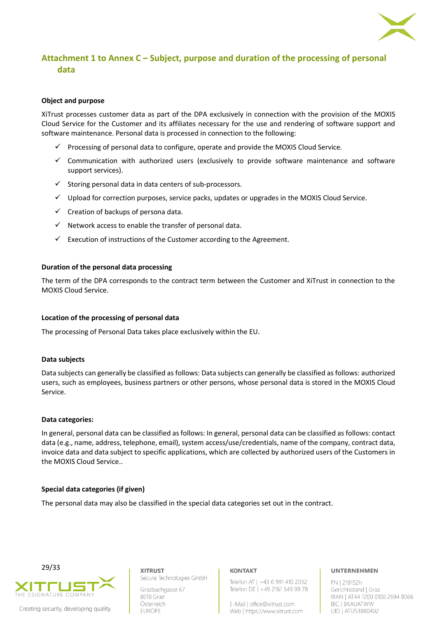

# <span id="page-28-0"></span>**Attachment 1 to Annex C – Subject, purpose and duration of the processing of personal data**

### **Object and purpose**

XiTrust processes customer data as part of the DPA exclusively in connection with the provision of the MOXIS Cloud Service for the Customer and its affiliates necessary for the use and rendering of software support and software maintenance. Personal data is processed in connection to the following:

- Processing of personal data to configure, operate and provide the MOXIS Cloud Service.
- $\checkmark$  Communication with authorized users (exclusively to provide software maintenance and software support services).
- $\checkmark$  Storing personal data in data centers of sub-processors.
- $\checkmark$  Upload for correction purposes, service packs, updates or upgrades in the MOXIS Cloud Service.
- $\checkmark$  Creation of backups of persona data.
- $\checkmark$  Network access to enable the transfer of personal data.
- $\checkmark$  Execution of instructions of the Customer according to the Agreement.

### **Duration of the personal data processing**

The term of the DPA corresponds to the contract term between the Customer and XiTrust in connection to the MOXIS Cloud Service.

## **Location of the processing of personal data**

The processing of Personal Data takes place exclusively within the EU.

### **Data subjects**

Data subjects can generally be classified as follows: Data subjects can generally be classified as follows: authorized users, such as employees, business partners or other persons, whose personal data is stored in the MOXIS Cloud Service.

### **Data categories:**

In general, personal data can be classified as follows: In general, personal data can be classified as follows: contact data (e.g., name, address, telephone, email), system access/use/credentials, name of the company, contract data, invoice data and data subject to specific applications, which are collected by authorized users of the Customers in the MOXIS Cloud Service..

## **Special data categories (if given)**

The personal data may also be classified in the special data categories set out in the contract.



**XITRUST** Secure Technologies GmbH

Grazbachgasse 67 8010 Graz Österreich **EUROPE** 

#### **KONTAKT**

Telefon AT | +43 6 991 410 2032 Telefon DE | +49 2161 549 99 78

E-Mail | office@xitrust.com Web | https://www.xitrust.com

### **UNTERNEHMEN**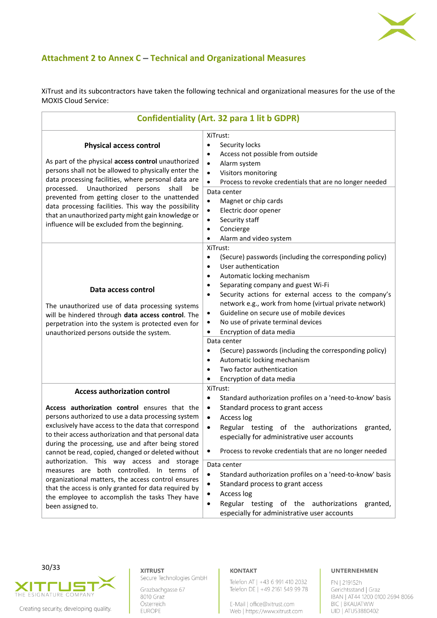

# <span id="page-29-0"></span>**Attachment 2 to Annex C - Technical and Organizational Measures**

XiTrust and its subcontractors have taken the following technical and organizational measures for the use of the MOXIS Cloud Service:

| <b>Confidentiality (Art. 32 para 1 lit b GDPR)</b>                                                                                                                                                                                                                                                                                                                                                                                                                              |                                                                                                                                                                                                                                                                                                                                                                                                                                                                                                                                                                                                                                                                                    |  |  |
|---------------------------------------------------------------------------------------------------------------------------------------------------------------------------------------------------------------------------------------------------------------------------------------------------------------------------------------------------------------------------------------------------------------------------------------------------------------------------------|------------------------------------------------------------------------------------------------------------------------------------------------------------------------------------------------------------------------------------------------------------------------------------------------------------------------------------------------------------------------------------------------------------------------------------------------------------------------------------------------------------------------------------------------------------------------------------------------------------------------------------------------------------------------------------|--|--|
| <b>Physical access control</b><br>As part of the physical access control unauthorized<br>persons shall not be allowed to physically enter the<br>data processing facilities, where personal data are<br>processed.<br>Unauthorized<br>shall<br>persons<br>be<br>prevented from getting closer to the unattended<br>data processing facilities. This way the possibility<br>that an unauthorized party might gain knowledge or<br>influence will be excluded from the beginning. | XiTrust:<br>Security locks<br>$\bullet$<br>Access not possible from outside<br>٠<br>Alarm system<br>$\bullet$<br>Visitors monitoring<br>Process to revoke credentials that are no longer needed<br>Data center<br>Magnet or chip cards<br>$\bullet$<br>Electric door opener<br>$\bullet$<br>Security staff<br>$\bullet$<br>Concierge<br>٠<br>Alarm and video system<br>$\bullet$                                                                                                                                                                                                                                                                                                   |  |  |
| Data access control<br>The unauthorized use of data processing systems<br>will be hindered through data access control. The<br>perpetration into the system is protected even for<br>unauthorized persons outside the system.                                                                                                                                                                                                                                                   | XiTrust:<br>(Secure) passwords (including the corresponding policy)<br>$\bullet$<br>User authentication<br>$\bullet$<br>Automatic locking mechanism<br>$\bullet$<br>Separating company and guest Wi-Fi<br>٠<br>Security actions for external access to the company's<br>$\bullet$<br>network e.g., work from home (virtual private network)<br>Guideline on secure use of mobile devices<br>٠<br>No use of private terminal devices<br>٠<br>Encryption of data media<br>Data center<br>(Secure) passwords (including the corresponding policy)<br>$\bullet$<br>Automatic locking mechanism<br>$\bullet$<br>Two factor authentication<br>$\bullet$<br>Encryption of data media<br>٠ |  |  |
| <b>Access authorization control</b><br>Access authorization control ensures that the<br>persons authorized to use a data processing system<br>exclusively have access to the data that correspond<br>to their access authorization and that personal data<br>during the processing, use and after being stored<br>cannot be read, copied, changed or deleted without                                                                                                            | XiTrust:<br>Standard authorization profiles on a 'need-to-know' basis<br>$\bullet$<br>Standard process to grant access<br>٠<br>Access log<br>$\bullet$<br>Regular testing of the authorizations<br>$\bullet$<br>granted,<br>especially for administrative user accounts<br>Process to revoke credentials that are no longer needed                                                                                                                                                                                                                                                                                                                                                 |  |  |
| authorization. This way access and storage<br>measures are both controlled. In terms of<br>organizational matters, the access control ensures<br>that the access is only granted for data required by<br>the employee to accomplish the tasks They have<br>been assigned to.                                                                                                                                                                                                    | Data center<br>Standard authorization profiles on a 'need-to-know' basis<br>$\bullet$<br>Standard process to grant access<br>$\bullet$<br>Access log<br>٠<br>Regular testing of the authorizations<br>granted,<br>$\bullet$<br>especially for administrative user accounts                                                                                                                                                                                                                                                                                                                                                                                                         |  |  |



Creating security, developing quality.

### **XITRUST** Secure Technologies GmbH

Grazbachgasse 67 8010 Graz Österreich EUROPE

#### **KONTAKT**

Telefon AT | +43 6 991 410 2032 Telefon DE | +49 2161 549 99 78

E-Mail | office@xitrust.com Web | https://www.xitrust.com

#### **UNTERNEHMEN**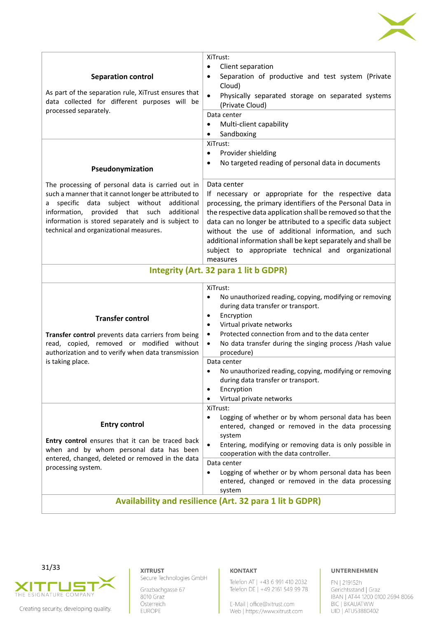

|                                                                                                                                                 | XiTrust:                                                                                                                 |  |
|-------------------------------------------------------------------------------------------------------------------------------------------------|--------------------------------------------------------------------------------------------------------------------------|--|
|                                                                                                                                                 | Client separation<br>$\bullet$                                                                                           |  |
| <b>Separation control</b>                                                                                                                       | Separation of productive and test system (Private<br>٠                                                                   |  |
|                                                                                                                                                 | Cloud)                                                                                                                   |  |
| As part of the separation rule, XiTrust ensures that                                                                                            | Physically separated storage on separated systems<br>$\bullet$                                                           |  |
| data collected for different purposes will be                                                                                                   | (Private Cloud)                                                                                                          |  |
| processed separately.                                                                                                                           | Data center                                                                                                              |  |
|                                                                                                                                                 | Multi-client capability                                                                                                  |  |
|                                                                                                                                                 | Sandboxing                                                                                                               |  |
|                                                                                                                                                 | XiTrust:                                                                                                                 |  |
|                                                                                                                                                 | Provider shielding<br>$\bullet$                                                                                          |  |
| Pseudonymization                                                                                                                                | No targeted reading of personal data in documents                                                                        |  |
|                                                                                                                                                 |                                                                                                                          |  |
| The processing of personal data is carried out in                                                                                               | Data center                                                                                                              |  |
| such a manner that it cannot longer be attributed to<br>specific data subject without additional<br>a                                           | If necessary or appropriate for the respective data<br>processing, the primary identifiers of the Personal Data in       |  |
| information, provided that such<br>additional                                                                                                   | the respective data application shall be removed so that the                                                             |  |
| information is stored separately and is subject to                                                                                              | data can no longer be attributed to a specific data subject                                                              |  |
| technical and organizational measures.                                                                                                          | without the use of additional information, and such                                                                      |  |
|                                                                                                                                                 | additional information shall be kept separately and shall be                                                             |  |
|                                                                                                                                                 | subject to appropriate technical and organizational                                                                      |  |
|                                                                                                                                                 | measures                                                                                                                 |  |
| Integrity (Art. 32 para 1 lit b GDPR)                                                                                                           |                                                                                                                          |  |
|                                                                                                                                                 | XiTrust:                                                                                                                 |  |
|                                                                                                                                                 | No unauthorized reading, copying, modifying or removing                                                                  |  |
|                                                                                                                                                 | during data transfer or transport.                                                                                       |  |
| <b>Transfer control</b>                                                                                                                         | Encryption<br>٠                                                                                                          |  |
|                                                                                                                                                 | Virtual private networks<br>$\bullet$                                                                                    |  |
| Transfer control prevents data carriers from being                                                                                              | Protected connection from and to the data center<br>$\bullet$<br>No data transfer during the singing process /Hash value |  |
| read, copied, removed or modified without<br>authorization and to verify when data transmission                                                 | $\bullet$<br>procedure)                                                                                                  |  |
| is taking place.                                                                                                                                | Data center                                                                                                              |  |
|                                                                                                                                                 | No unauthorized reading, copying, modifying or removing                                                                  |  |
|                                                                                                                                                 | during data transfer or transport.                                                                                       |  |
|                                                                                                                                                 | Encryption                                                                                                               |  |
|                                                                                                                                                 | Virtual private networks                                                                                                 |  |
|                                                                                                                                                 | XiTrust:<br>Logging of whether or by whom personal data has been<br>$\bullet$                                            |  |
| <b>Entry control</b>                                                                                                                            | entered, changed or removed in the data processing                                                                       |  |
|                                                                                                                                                 | system                                                                                                                   |  |
| Entry control ensures that it can be traced back<br>when and by whom personal data has been<br>entered, changed, deleted or removed in the data | Entering, modifying or removing data is only possible in                                                                 |  |
|                                                                                                                                                 | cooperation with the data controller.                                                                                    |  |
| processing system.                                                                                                                              | Data center                                                                                                              |  |
|                                                                                                                                                 | Logging of whether or by whom personal data has been                                                                     |  |
|                                                                                                                                                 | entered, changed or removed in the data processing<br>system                                                             |  |
|                                                                                                                                                 | Availability and resilience (Art. 32 para 1 lit b GDPR)                                                                  |  |
|                                                                                                                                                 |                                                                                                                          |  |



**XITRUST** Secure Technologies GmbH

Grazbachgasse 67<br>8010 Graz Österreich **EUROPE** 

### **KONTAKT**

Telefon AT | +43 6 991 410 2032<br>Telefon DE | +49 2161 549 99 78

E-Mail | office@xitrust.com<br>Web | https://www.xitrust.com

#### **UNTERNEHMEN**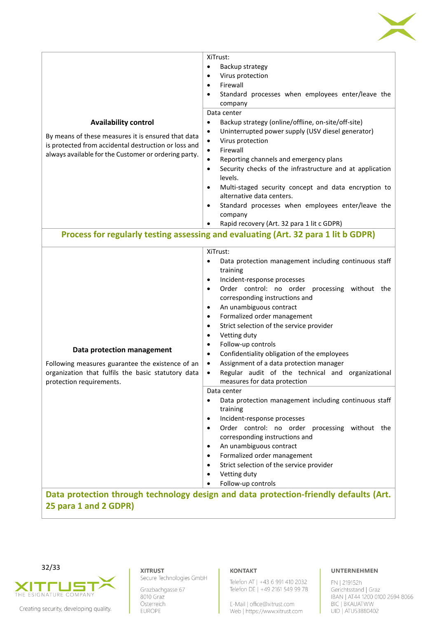

|                                                      | XiTrust:                                                                              |
|------------------------------------------------------|---------------------------------------------------------------------------------------|
|                                                      | Backup strategy<br>$\bullet$                                                          |
|                                                      | Virus protection                                                                      |
|                                                      | Firewall<br>$\bullet$                                                                 |
|                                                      | Standard processes when employees enter/leave the                                     |
|                                                      | company                                                                               |
|                                                      | Data center                                                                           |
| <b>Availability control</b>                          | Backup strategy (online/offline, on-site/off-site)<br>٠                               |
|                                                      | Uninterrupted power supply (USV diesel generator)<br>$\bullet$                        |
| By means of these measures it is ensured that data   | Virus protection<br>$\bullet$                                                         |
| is protected from accidental destruction or loss and | Firewall<br>$\bullet$                                                                 |
| always available for the Customer or ordering party. | $\bullet$                                                                             |
|                                                      | Reporting channels and emergency plans                                                |
|                                                      | Security checks of the infrastructure and at application<br>$\bullet$                 |
|                                                      | levels.                                                                               |
|                                                      | Multi-staged security concept and data encryption to<br>$\bullet$                     |
|                                                      | alternative data centers.                                                             |
|                                                      | Standard processes when employees enter/leave the<br>$\bullet$                        |
|                                                      | company                                                                               |
|                                                      | Rapid recovery (Art. 32 para 1 lit c GDPR)                                            |
|                                                      | Process for regularly testing assessing and evaluating (Art. 32 para 1 lit b GDPR)    |
|                                                      |                                                                                       |
|                                                      | XiTrust:                                                                              |
|                                                      | Data protection management including continuous staff                                 |
|                                                      | training                                                                              |
|                                                      | Incident-response processes<br>$\bullet$                                              |
|                                                      | Order control: no order processing without the<br>$\bullet$                           |
|                                                      | corresponding instructions and                                                        |
|                                                      | An unambiguous contract<br>$\bullet$                                                  |
|                                                      | Formalized order management<br>$\bullet$                                              |
|                                                      | Strict selection of the service provider<br>$\bullet$                                 |
|                                                      | Vetting duty                                                                          |
|                                                      | Follow-up controls                                                                    |
| Data protection management                           |                                                                                       |
|                                                      | Confidentiality obligation of the employees                                           |
| Following measures guarantee the existence of an     | Assignment of a data protection manager<br>$\bullet$                                  |
| organization that fulfils the basic statutory data   | Regular audit of the technical and organizational                                     |
| protection requirements.                             | measures for data protection                                                          |
|                                                      | Data center                                                                           |
|                                                      | Data protection management including continuous staff<br>$\bullet$                    |
|                                                      | training                                                                              |
|                                                      | Incident-response processes<br>٠                                                      |
|                                                      | Order control: no order processing without the<br>٠                                   |
|                                                      | corresponding instructions and                                                        |
|                                                      | An unambiguous contract<br>٠                                                          |
|                                                      | Formalized order management<br>٠                                                      |
|                                                      | Strict selection of the service provider<br>٠                                         |
|                                                      | Vetting duty                                                                          |
|                                                      | Follow-up controls                                                                    |
|                                                      | Data protection through technology design and data protection-friendly defaults (Art. |
|                                                      |                                                                                       |

25 para 1 and 2 GDPR)



Creating security, developing quality.

### **XITRUST** Secure Technologies GmbH

Grazbachgasse 67<br>8010 Graz Österreich **EUROPE** 

### **KONTAKT**

Telefon AT | +43 6 991 410 2032<br>Telefon DE | +49 2161 549 99 78

E-Mail | office@xitrust.com<br>Web | https://www.xitrust.com

### **UNTERNEHMEN**